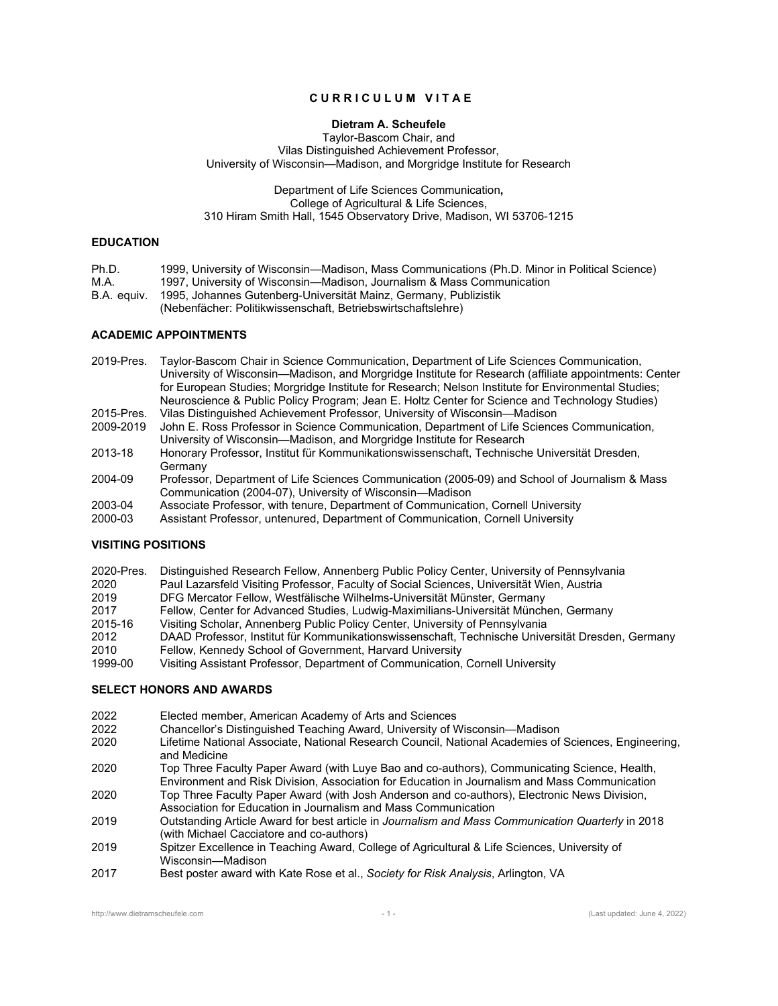# **C U R R I C U L U M V I T A E**

## **Dietram A. Scheufele**

## Taylor-Bascom Chair, and Vilas Distinguished Achievement Professor, University of Wisconsin—Madison, and Morgridge Institute for Research

#### Department of Life Sciences Communication**,**  College of Agricultural & Life Sciences, 310 Hiram Smith Hall, 1545 Observatory Drive, Madison, WI 53706-1215

## **EDUCATION**

Ph.D. 1999, University of Wisconsin—Madison, Mass Communications (Ph.D. Minor in Political Science) M.A. 1997, University of Wisconsin—Madison, Journalism & Mass Communication

B.A. equiv. 1995, Johannes Gutenberg-Universität Mainz, Germany, Publizistik

(Nebenfächer: Politikwissenschaft, Betriebswirtschaftslehre)

## **ACADEMIC APPOINTMENTS**

- 2019-Pres. Taylor-Bascom Chair in Science Communication, Department of Life Sciences Communication, University of Wisconsin—Madison, and Morgridge Institute for Research (affiliate appointments: Center for European Studies; Morgridge Institute for Research; Nelson Institute for Environmental Studies; Neuroscience & Public Policy Program; Jean E. Holtz Center for Science and Technology Studies)
- 2015-Pres. Vilas Distinguished Achievement Professor, University of Wisconsin—Madison John E. Ross Professor in Science Communication, Department of Life Sciences Communication,
- University of Wisconsin—Madison, and Morgridge Institute for Research
- 2013-18 Honorary Professor, Institut für Kommunikationswissenschaft, Technische Universität Dresden, Germany
- 2004-09 Professor, Department of Life Sciences Communication (2005-09) and School of Journalism & Mass Communication (2004-07), University of Wisconsin—Madison
- 
- 2003-04 Associate Professor, with tenure, Department of Communication, Cornell University Assistant Professor, untenured, Department of Communication, Cornell University

# **VISITING POSITIONS**

- 2020-Pres. Distinguished Research Fellow, Annenberg Public Policy Center, University of Pennsylvania
- 2020 Paul Lazarsfeld Visiting Professor, Faculty of Social Sciences, Universität Wien, Austria
- 2019 DFG Mercator Fellow, Westfälische Wilhelms-Universität Münster, Germany
- 2017 Fellow, Center for Advanced Studies, Ludwig-Maximilians-Universität München, Germany
- 2015-16 Visiting Scholar, Annenberg Public Policy Center, University of Pennsylvania
- 2012 DAAD Professor, Institut für Kommunikationswissenschaft, Technische Universität Dresden, Germany 2010 Fellow, Kennedy School of Government, Harvard University
- 1999-00 Visiting Assistant Professor, Department of Communication, Cornell University

# **SELECT HONORS AND AWARDS**

- 2022 Elected member, American Academy of Arts and Sciences
- 2022 Chancellor's Distinguished Teaching Award, University of Wisconsin—Madison
- Lifetime National Associate, National Research Council, National Academies of Sciences, Engineering, and Medicine
- 2020 Top Three Faculty Paper Award (with Luye Bao and co-authors), Communicating Science, Health, Environment and Risk Division, Association for Education in Journalism and Mass Communication
- 2020 Top Three Faculty Paper Award (with Josh Anderson and co-authors), Electronic News Division, Association for Education in Journalism and Mass Communication
- 2019 Outstanding Article Award for best article in *Journalism and Mass Communication Quarterly* in 2018 (with Michael Cacciatore and co-authors)
- 2019 Spitzer Excellence in Teaching Award, College of Agricultural & Life Sciences, University of Wisconsin—Madison
- 2017 Best poster award with Kate Rose et al., *Society for Risk Analysis*, Arlington, VA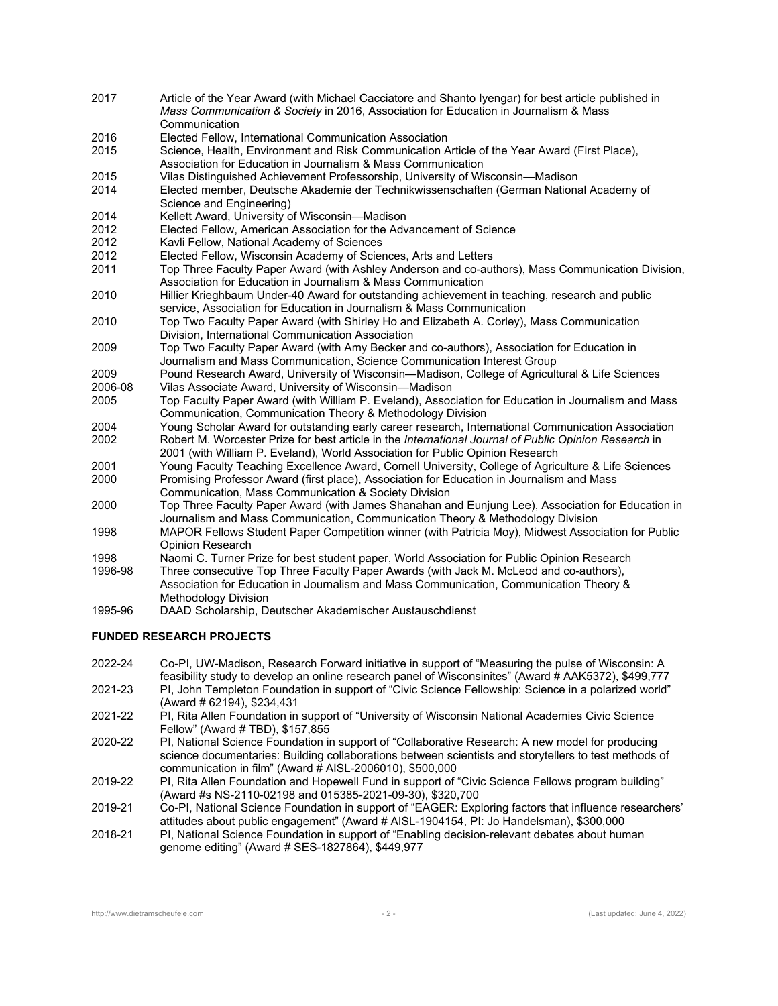- 2017 Article of the Year Award (with Michael Cacciatore and Shanto Iyengar) for best article published in *Mass Communication & Society* in 2016, Association for Education in Journalism & Mass **Communication**
- 2016 Elected Fellow, International Communication Association
- 2015 Science, Health, Environment and Risk Communication Article of the Year Award (First Place), Association for Education in Journalism & Mass Communication
- 2015 Vilas Distinguished Achievement Professorship, University of Wisconsin—Madison
- 2014 Elected member, Deutsche Akademie der Technikwissenschaften (German National Academy of Science and Engineering)
- 2014 Kellett Award, University of Wisconsin—Madison
- Elected Fellow, American Association for the Advancement of Science
- 2012 Kavli Fellow, National Academy of Sciences
- 2012 Elected Fellow, Wisconsin Academy of Sciences, Arts and Letters
- 2011 Top Three Faculty Paper Award (with Ashley Anderson and co-authors), Mass Communication Division, Association for Education in Journalism & Mass Communication
- 2010 Hillier Krieghbaum Under-40 Award for outstanding achievement in teaching, research and public service, Association for Education in Journalism & Mass Communication
- 2010 Top Two Faculty Paper Award (with Shirley Ho and Elizabeth A. Corley), Mass Communication Division, International Communication Association
- 2009 Top Two Faculty Paper Award (with Amy Becker and co-authors), Association for Education in Journalism and Mass Communication, Science Communication Interest Group
- 2009 Pound Research Award, University of Wisconsin—Madison, College of Agricultural & Life Sciences 2006-08 Vilas Associate Award, University of Wisconsin—Madison
- 2005 Top Faculty Paper Award (with William P. Eveland), Association for Education in Journalism and Mass Communication, Communication Theory & Methodology Division
- 2004 Young Scholar Award for outstanding early career research, International Communication Association<br>2002 Robert M. Worcester Prize for best article in the International Journal of Public Opinion Research in 2002 Robert M. Worcester Prize for best article in the *International Journal of Public Opinion Research* in 2001 (with William P. Eveland), World Association for Public Opinion Research
- 2001 Young Faculty Teaching Excellence Award, Cornell University, College of Agriculture & Life Sciences 2000 Promising Professor Award (first place), Association for Education in Journalism and Mass
- Communication, Mass Communication & Society Division
- 2000 Top Three Faculty Paper Award (with James Shanahan and Eunjung Lee), Association for Education in Journalism and Mass Communication, Communication Theory & Methodology Division
- 1998 MAPOR Fellows Student Paper Competition winner (with Patricia Moy), Midwest Association for Public Opinion Research
- 1998 Naomi C. Turner Prize for best student paper, World Association for Public Opinion Research
- 1996-98 Three consecutive Top Three Faculty Paper Awards (with Jack M. McLeod and co-authors), Association for Education in Journalism and Mass Communication, Communication Theory & Methodology Division
- 1995-96 DAAD Scholarship, Deutscher Akademischer Austauschdienst

## **FUNDED RESEARCH PROJECTS**

- 2022-24 Co-PI, UW-Madison, Research Forward initiative in support of "Measuring the pulse of Wisconsin: A feasibility study to develop an online research panel of Wisconsinites" (Award # AAK5372), \$499,777
- 2021-23 PI, John Templeton Foundation in support of "Civic Science Fellowship: Science in a polarized world" (Award # 62194), \$234,431
- 2021-22 PI, Rita Allen Foundation in support of "University of Wisconsin National Academies Civic Science Fellow" (Award # TBD), \$157,855
- 2020-22 PI, National Science Foundation in support of "Collaborative Research: A new model for producing science documentaries: Building collaborations between scientists and storytellers to test methods of communication in film" (Award  $#$  AISL-2006010), \$500,000
- 2019-22 PI, Rita Allen Foundation and Hopewell Fund in support of "Civic Science Fellows program building" (Award #s NS-2110-02198 and 015385-2021-09-30), \$320,700
- 2019-21 Co-PI, National Science Foundation in support of "EAGER: Exploring factors that influence researchers' attitudes about public engagement" (Award # AISL-1904154, PI: Jo Handelsman), \$300,000
- 2018-21 PI, National Science Foundation in support of "Enabling decision‐relevant debates about human genome editing" (Award # SES-1827864), \$449,977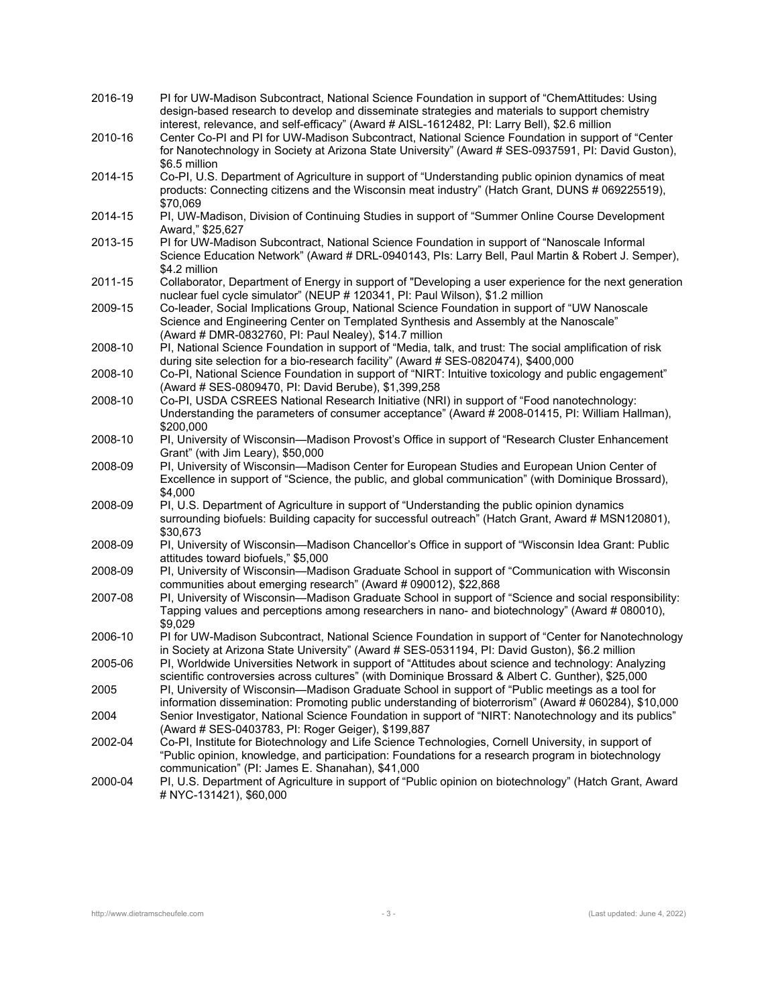| 2016-19 | PI for UW-Madison Subcontract, National Science Foundation in support of "ChemAttitudes: Using<br>design-based research to develop and disseminate strategies and materials to support chemistry<br>interest, relevance, and self-efficacy" (Award # AISL-1612482, PI: Larry Bell), \$2.6 million |
|---------|---------------------------------------------------------------------------------------------------------------------------------------------------------------------------------------------------------------------------------------------------------------------------------------------------|
| 2010-16 | Center Co-PI and PI for UW-Madison Subcontract, National Science Foundation in support of "Center<br>for Nanotechnology in Society at Arizona State University" (Award # SES-0937591, PI: David Guston),<br>\$6.5 million                                                                         |
| 2014-15 | Co-PI, U.S. Department of Agriculture in support of "Understanding public opinion dynamics of meat<br>products: Connecting citizens and the Wisconsin meat industry" (Hatch Grant, DUNS # 069225519),<br>\$70,069                                                                                 |
| 2014-15 | PI, UW-Madison, Division of Continuing Studies in support of "Summer Online Course Development<br>Award," \$25,627                                                                                                                                                                                |
| 2013-15 | PI for UW-Madison Subcontract, National Science Foundation in support of "Nanoscale Informal<br>Science Education Network" (Award # DRL-0940143, PIs: Larry Bell, Paul Martin & Robert J. Semper),<br>\$4.2 million                                                                               |
| 2011-15 | Collaborator, Department of Energy in support of "Developing a user experience for the next generation<br>nuclear fuel cycle simulator" (NEUP # 120341, PI: Paul Wilson), \$1.2 million                                                                                                           |
| 2009-15 | Co-leader, Social Implications Group, National Science Foundation in support of "UW Nanoscale<br>Science and Engineering Center on Templated Synthesis and Assembly at the Nanoscale"<br>(Award # DMR-0832760, PI: Paul Nealey), \$14.7 million                                                   |
| 2008-10 | PI, National Science Foundation in support of "Media, talk, and trust: The social amplification of risk<br>during site selection for a bio-research facility" (Award # SES-0820474), \$400,000                                                                                                    |
| 2008-10 | Co-PI, National Science Foundation in support of "NIRT: Intuitive toxicology and public engagement"<br>(Award # SES-0809470, PI: David Berube), \$1,399,258                                                                                                                                       |
| 2008-10 | Co-PI, USDA CSREES National Research Initiative (NRI) in support of "Food nanotechnology:<br>Understanding the parameters of consumer acceptance" (Award # 2008-01415, PI: William Hallman),<br>\$200,000                                                                                         |
| 2008-10 | PI, University of Wisconsin-Madison Provost's Office in support of "Research Cluster Enhancement<br>Grant" (with Jim Leary), \$50,000                                                                                                                                                             |
| 2008-09 | PI, University of Wisconsin—Madison Center for European Studies and European Union Center of<br>Excellence in support of "Science, the public, and global communication" (with Dominique Brossard),<br>\$4,000                                                                                    |
| 2008-09 | PI, U.S. Department of Agriculture in support of "Understanding the public opinion dynamics<br>surrounding biofuels: Building capacity for successful outreach" (Hatch Grant, Award # MSN120801),<br>\$30,673                                                                                     |
| 2008-09 | PI, University of Wisconsin—Madison Chancellor's Office in support of "Wisconsin Idea Grant: Public<br>attitudes toward biofuels," \$5,000                                                                                                                                                        |
| 2008-09 | PI, University of Wisconsin-Madison Graduate School in support of "Communication with Wisconsin<br>communities about emerging research" (Award # 090012), \$22,868                                                                                                                                |
| 2007-08 | PI, University of Wisconsin-Madison Graduate School in support of "Science and social responsibility:<br>Tapping values and perceptions among researchers in nano- and biotechnology" (Award # 080010),<br>\$9,029                                                                                |
| 2006-10 | PI for UW-Madison Subcontract, National Science Foundation in support of "Center for Nanotechnology<br>in Society at Arizona State University" (Award # SES-0531194, PI: David Guston), \$6.2 million                                                                                             |
| 2005-06 | PI, Worldwide Universities Network in support of "Attitudes about science and technology: Analyzing<br>scientific controversies across cultures" (with Dominique Brossard & Albert C. Gunther), \$25,000                                                                                          |
| 2005    | PI, University of Wisconsin—Madison Graduate School in support of "Public meetings as a tool for<br>information dissemination: Promoting public understanding of bioterrorism" (Award # 060284), \$10,000                                                                                         |
| 2004    | Senior Investigator, National Science Foundation in support of "NIRT: Nanotechnology and its publics"<br>(Award # SES-0403783, PI: Roger Geiger), \$199,887                                                                                                                                       |
| 2002-04 | Co-PI, Institute for Biotechnology and Life Science Technologies, Cornell University, in support of<br>"Public opinion, knowledge, and participation: Foundations for a research program in biotechnology<br>communication" (PI: James E. Shanahan), \$41,000                                     |
| 2000-04 | PI, U.S. Department of Agriculture in support of "Public opinion on biotechnology" (Hatch Grant, Award<br># NYC-131421), \$60,000                                                                                                                                                                 |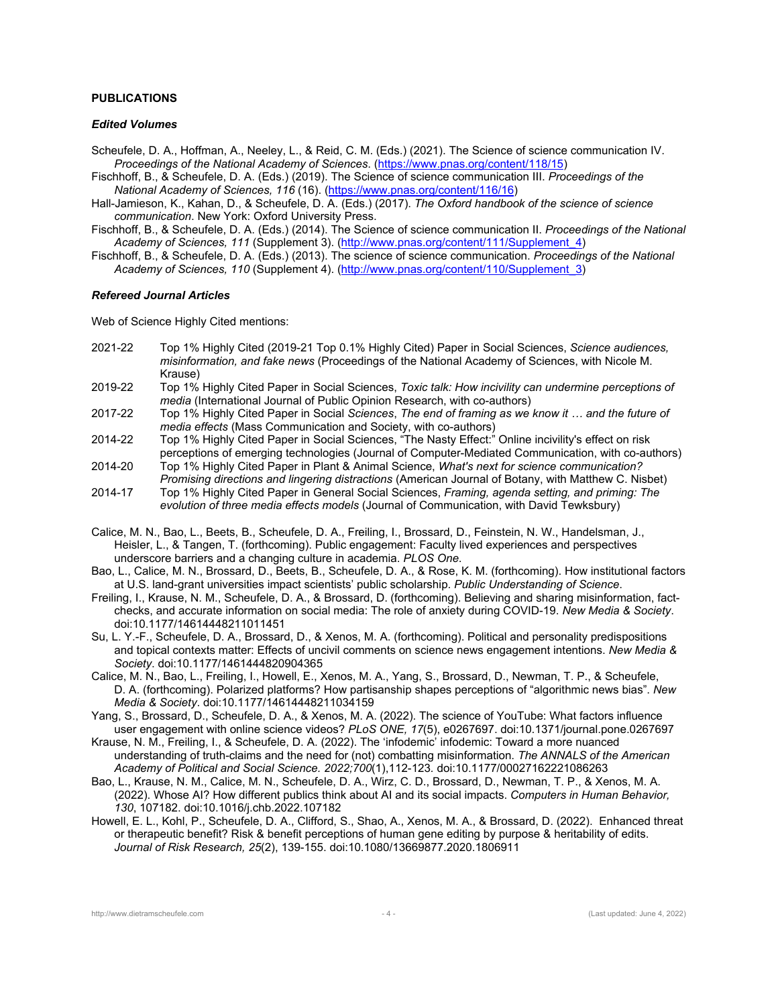### **PUBLICATIONS**

### *Edited Volumes*

- Scheufele, D. A., Hoffman, A., Neeley, L., & Reid, C. M. (Eds.) (2021). The Science of science communication IV. *Proceedings of the National Academy of Sciences*. (https://www.pnas.org/content/118/15)
- Fischhoff, B., & Scheufele, D. A. (Eds.) (2019). The Science of science communication III. *Proceedings of the National Academy of Sciences, 116* (16). (https://www.pnas.org/content/116/16)
- Hall-Jamieson, K., Kahan, D., & Scheufele, D. A. (Eds.) (2017). *The Oxford handbook of the science of science communication*. New York: Oxford University Press.
- Fischhoff, B., & Scheufele, D. A. (Eds.) (2014). The Science of science communication II. *Proceedings of the National Academy of Sciences, 111* (Supplement 3). (http://www.pnas.org/content/111/Supplement\_4)
- Fischhoff, B., & Scheufele, D. A. (Eds.) (2013). The science of science communication. *Proceedings of the National Academy of Sciences, 110* (Supplement 4). (http://www.pnas.org/content/110/Supplement\_3)

#### *Refereed Journal Articles*

Web of Science Highly Cited mentions:

- 2021-22 Top 1% Highly Cited (2019-21 Top 0.1% Highly Cited) Paper in Social Sciences, *Science audiences, misinformation, and fake news* (Proceedings of the National Academy of Sciences, with Nicole M. Krause)
- 2019-22 Top 1% Highly Cited Paper in Social Sciences, *Toxic talk: How incivility can undermine perceptions of media* (International Journal of Public Opinion Research, with co-authors)
- 2017-22 Top 1% Highly Cited Paper in Social *Sciences*, *The end of framing as we know it … and the future of media effects* (Mass Communication and Society, with co-authors)
- 2014-22 Top 1% Highly Cited Paper in Social Sciences, "The Nasty Effect:" Online incivility's effect on risk perceptions of emerging technologies (Journal of Computer-Mediated Communication, with co-authors)
- 2014-20 Top 1% Highly Cited Paper in Plant & Animal Science, *What's next for science communication? Promising directions and lingering distractions* (American Journal of Botany, with Matthew C. Nisbet)
- 2014-17 Top 1% Highly Cited Paper in General Social Sciences, *Framing, agenda setting, and priming: The evolution of three media effects models* (Journal of Communication, with David Tewksbury)
- Calice, M. N., Bao, L., Beets, B., Scheufele, D. A., Freiling, I., Brossard, D., Feinstein, N. W., Handelsman, J., Heisler, L., & Tangen, T. (forthcoming). Public engagement: Faculty lived experiences and perspectives underscore barriers and a changing culture in academia. *PLOS One*.
- Bao, L., Calice, M. N., Brossard, D., Beets, B., Scheufele, D. A., & Rose, K. M. (forthcoming). How institutional factors at U.S. land-grant universities impact scientists' public scholarship. *Public Understanding of Science*.
- Freiling, I., Krause, N. M., Scheufele, D. A., & Brossard, D. (forthcoming). Believing and sharing misinformation, factchecks, and accurate information on social media: The role of anxiety during COVID-19. *New Media & Society*. doi:10.1177/14614448211011451
- Su, L. Y.-F., Scheufele, D. A., Brossard, D., & Xenos, M. A. (forthcoming). Political and personality predispositions and topical contexts matter: Effects of uncivil comments on science news engagement intentions. *New Media & Society*. doi:10.1177/1461444820904365
- Calice, M. N., Bao, L., Freiling, I., Howell, E., Xenos, M. A., Yang, S., Brossard, D., Newman, T. P., & Scheufele, D. A. (forthcoming). Polarized platforms? How partisanship shapes perceptions of "algorithmic news bias". *New Media & Society*. doi:10.1177/14614448211034159
- Yang, S., Brossard, D., Scheufele, D. A., & Xenos, M. A. (2022). The science of YouTube: What factors influence user engagement with online science videos? *PLoS ONE, 17*(5), e0267697. doi:10.1371/journal.pone.0267697
- Krause, N. M., Freiling, I., & Scheufele, D. A. (2022). The 'infodemic' infodemic: Toward a more nuanced understanding of truth-claims and the need for (not) combatting misinformation. *The ANNALS of the American Academy of Political and Social Science. 2022;700*(1),112-123*.* doi:10.1177/00027162221086263
- Bao, L., Krause, N. M., Calice, M. N., Scheufele, D. A., Wirz, C. D., Brossard, D., Newman, T. P., & Xenos, M. A. (2022). Whose AI? How different publics think about AI and its social impacts. *Computers in Human Behavior, 130*, 107182. doi:10.1016/j.chb.2022.107182
- Howell, E. L., Kohl, P., Scheufele, D. A., Clifford, S., Shao, A., Xenos, M. A., & Brossard, D. (2022). Enhanced threat or therapeutic benefit? Risk & benefit perceptions of human gene editing by purpose & heritability of edits. *Journal of Risk Research, 25*(2), 139-155. doi:10.1080/13669877.2020.1806911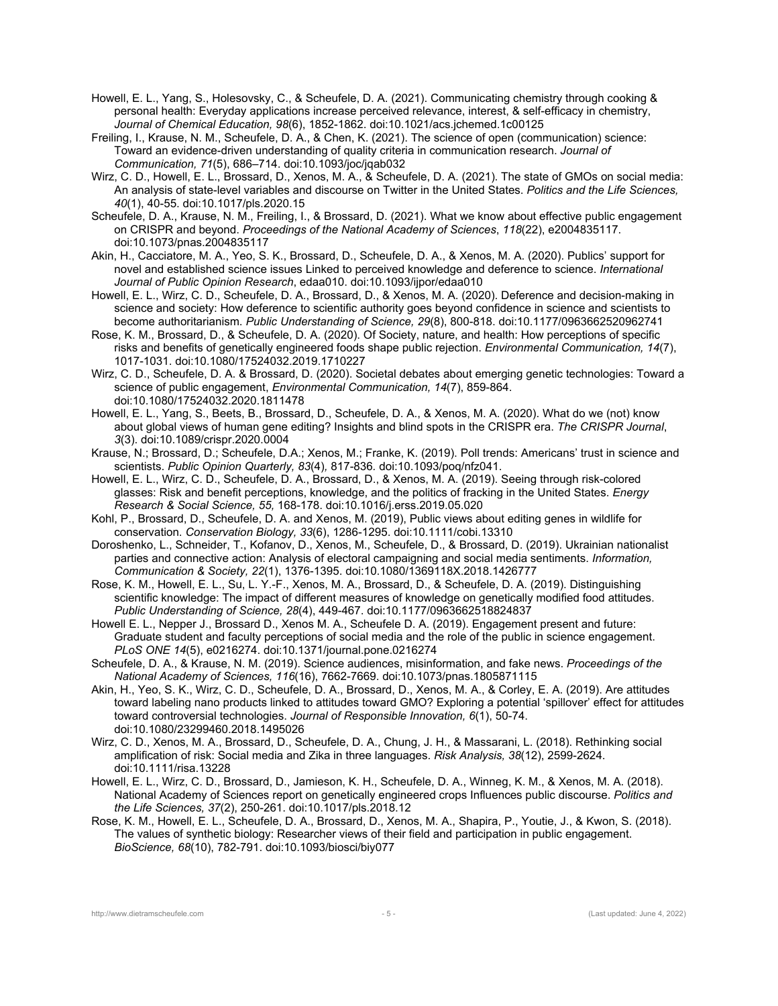- Howell, E. L., Yang, S., Holesovsky, C., & Scheufele, D. A. (2021). Communicating chemistry through cooking & personal health: Everyday applications increase perceived relevance, interest, & self-efficacy in chemistry, *Journal of Chemical Education, 98*(6), 1852-1862. doi:10.1021/acs.jchemed.1c00125
- Freiling, I., Krause, N. M., Scheufele, D. A., & Chen, K. (2021). The science of open (communication) science: Toward an evidence-driven understanding of quality criteria in communication research. *Journal of Communication, 71*(5), 686–714. doi:10.1093/joc/jqab032
- Wirz, C. D., Howell, E. L., Brossard, D., Xenos, M. A., & Scheufele, D. A. (2021). The state of GMOs on social media: An analysis of state-level variables and discourse on Twitter in the United States. *Politics and the Life Sciences, 40*(1), 40-55. doi:10.1017/pls.2020.15
- Scheufele, D. A., Krause, N. M., Freiling, I., & Brossard, D. (2021). What we know about effective public engagement on CRISPR and beyond. *Proceedings of the National Academy of Sciences*, *118*(22), e2004835117. doi:10.1073/pnas.2004835117
- Akin, H., Cacciatore, M. A., Yeo, S. K., Brossard, D., Scheufele, D. A., & Xenos, M. A. (2020). Publics' support for novel and established science issues Linked to perceived knowledge and deference to science. *International Journal of Public Opinion Research*, edaa010. doi:10.1093/ijpor/edaa010
- Howell, E. L., Wirz, C. D., Scheufele, D. A., Brossard, D., & Xenos, M. A. (2020). Deference and decision-making in science and society: How deference to scientific authority goes beyond confidence in science and scientists to become authoritarianism. *Public Understanding of Science, 29*(8), 800-818. doi:10.1177/0963662520962741
- Rose, K. M., Brossard, D., & Scheufele, D. A. (2020). Of Society, nature, and health: How perceptions of specific risks and benefits of genetically engineered foods shape public rejection. *Environmental Communication, 14*(7), 1017-1031. doi:10.1080/17524032.2019.1710227
- Wirz, C. D., Scheufele, D. A. & Brossard, D. (2020). Societal debates about emerging genetic technologies: Toward a science of public engagement, *Environmental Communication, 14*(7), 859-864. doi:10.1080/17524032.2020.1811478
- Howell, E. L., Yang, S., Beets, B., Brossard, D., Scheufele, D. A., & Xenos, M. A. (2020). What do we (not) know about global views of human gene editing? Insights and blind spots in the CRISPR era. *The CRISPR Journal*, *3*(3). doi:10.1089/crispr.2020.0004
- Krause, N.; Brossard, D.; Scheufele, D.A.; Xenos, M.; Franke, K. (2019). Poll trends: Americans' trust in science and scientists. *Public Opinion Quarterly, 83*(4)*,* 817-836*.* doi:10.1093/poq/nfz041.
- Howell, E. L., Wirz, C. D., Scheufele, D. A., Brossard, D., & Xenos, M. A. (2019). Seeing through risk-colored glasses: Risk and benefit perceptions, knowledge, and the politics of fracking in the United States. *Energy Research & Social Science, 55,* 168-178. doi:10.1016/j.erss.2019.05.020
- Kohl, P., Brossard, D., Scheufele, D. A. and Xenos, M. (2019), Public views about editing genes in wildlife for conservation. *Conservation Biology, 33*(6), 1286-1295. doi:10.1111/cobi.13310
- Doroshenko, L., Schneider, T., Kofanov, D., Xenos, M., Scheufele, D., & Brossard, D. (2019). Ukrainian nationalist parties and connective action: Analysis of electoral campaigning and social media sentiments. *Information, Communication & Society, 22*(1), 1376-1395. doi:10.1080/1369118X.2018.1426777
- Rose, K. M., Howell, E. L., Su, L. Y.-F., Xenos, M. A., Brossard, D., & Scheufele, D. A. (2019). Distinguishing scientific knowledge: The impact of different measures of knowledge on genetically modified food attitudes. *Public Understanding of Science, 28*(4), 449-467. doi:10.1177/0963662518824837
- Howell E. L., Nepper J., Brossard D., Xenos M. A., Scheufele D. A. (2019). Engagement present and future: Graduate student and faculty perceptions of social media and the role of the public in science engagement. *PLoS ONE 14*(5), e0216274. doi:10.1371/journal.pone.0216274
- Scheufele, D. A., & Krause, N. M. (2019). Science audiences, misinformation, and fake news. *Proceedings of the National Academy of Sciences, 116*(16), 7662-7669. doi:10.1073/pnas.1805871115
- Akin, H., Yeo, S. K., Wirz, C. D., Scheufele, D. A., Brossard, D., Xenos, M. A., & Corley, E. A. (2019). Are attitudes toward labeling nano products linked to attitudes toward GMO? Exploring a potential 'spillover' effect for attitudes toward controversial technologies. *Journal of Responsible Innovation, 6*(1), 50-74. doi:10.1080/23299460.2018.1495026
- Wirz, C. D., Xenos, M. A., Brossard, D., Scheufele, D. A., Chung, J. H., & Massarani, L. (2018). Rethinking social amplification of risk: Social media and Zika in three languages. *Risk Analysis, 38*(12), 2599-2624. doi:10.1111/risa.13228
- Howell, E. L., Wirz, C. D., Brossard, D., Jamieson, K. H., Scheufele, D. A., Winneg, K. M., & Xenos, M. A. (2018). National Academy of Sciences report on genetically engineered crops Influences public discourse. *Politics and the Life Sciences, 37*(2), 250-261. doi:10.1017/pls.2018.12
- Rose, K. M., Howell, E. L., Scheufele, D. A., Brossard, D., Xenos, M. A., Shapira, P., Youtie, J., & Kwon, S. (2018). The values of synthetic biology: Researcher views of their field and participation in public engagement. *BioScience, 68*(10), 782-791. doi:10.1093/biosci/biy077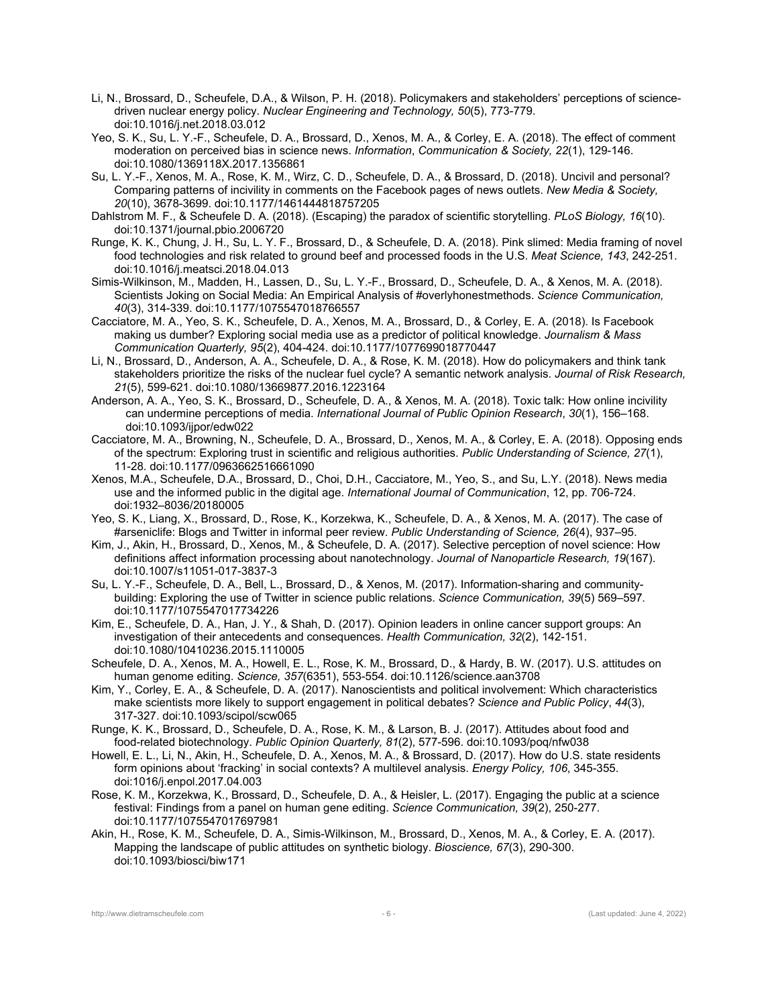- Li, N., Brossard, D., Scheufele, D.A., & Wilson, P. H. (2018). Policymakers and stakeholders' perceptions of sciencedriven nuclear energy policy. *Nuclear Engineering and Technology, 50*(5), 773-779. doi:10.1016/j.net.2018.03.012
- Yeo, S. K., Su, L. Y.-F., Scheufele, D. A., Brossard, D., Xenos, M. A., & Corley, E. A. (2018). The effect of comment moderation on perceived bias in science news. *Information*, *Communication & Society, 22*(1), 129-146. doi:10.1080/1369118X.2017.1356861
- Su, L. Y.-F., Xenos, M. A., Rose, K. M., Wirz, C. D., Scheufele, D. A., & Brossard, D. (2018). Uncivil and personal? Comparing patterns of incivility in comments on the Facebook pages of news outlets. *New Media & Society, 20*(10), 3678-3699. doi:10.1177/1461444818757205
- Dahlstrom M. F., & Scheufele D. A. (2018). (Escaping) the paradox of scientific storytelling. *PLoS Biology, 16*(10). doi:10.1371/journal.pbio.2006720
- Runge, K. K., Chung, J. H., Su, L. Y. F., Brossard, D., & Scheufele, D. A. (2018). Pink slimed: Media framing of novel food technologies and risk related to ground beef and processed foods in the U.S. *Meat Science, 143*, 242-251. doi:10.1016/j.meatsci.2018.04.013
- Simis-Wilkinson, M., Madden, H., Lassen, D., Su, L. Y.-F., Brossard, D., Scheufele, D. A., & Xenos, M. A. (2018). Scientists Joking on Social Media: An Empirical Analysis of #overlyhonestmethods. *Science Communication, 40*(3), 314-339. doi:10.1177/1075547018766557
- Cacciatore, M. A., Yeo, S. K., Scheufele, D. A., Xenos, M. A., Brossard, D., & Corley, E. A. (2018). Is Facebook making us dumber? Exploring social media use as a predictor of political knowledge. *Journalism & Mass Communication Quarterly, 95*(2), 404-424. doi:10.1177/1077699018770447
- Li, N., Brossard, D., Anderson, A. A., Scheufele, D. A., & Rose, K. M. (2018). How do policymakers and think tank stakeholders prioritize the risks of the nuclear fuel cycle? A semantic network analysis. *Journal of Risk Research, 21*(5), 599-621. doi:10.1080/13669877.2016.1223164
- Anderson, A. A., Yeo, S. K., Brossard, D., Scheufele, D. A., & Xenos, M. A. (2018). Toxic talk: How online incivility can undermine perceptions of media. *International Journal of Public Opinion Research*, *30*(1), 156–168. doi:10.1093/ijpor/edw022
- Cacciatore, M. A., Browning, N., Scheufele, D. A., Brossard, D., Xenos, M. A., & Corley, E. A. (2018). Opposing ends of the spectrum: Exploring trust in scientific and religious authorities. *Public Understanding of Science, 27*(1), 11-28. doi:10.1177/0963662516661090
- Xenos, M.A., Scheufele, D.A., Brossard, D., Choi, D.H., Cacciatore, M., Yeo, S., and Su, L.Y. (2018). News media use and the informed public in the digital age. *International Journal of Communication*, 12, pp. 706-724. doi:1932–8036/20180005
- Yeo, S. K., Liang, X., Brossard, D., Rose, K., Korzekwa, K., Scheufele, D. A., & Xenos, M. A. (2017). The case of #arseniclife: Blogs and Twitter in informal peer review. *Public Understanding of Science, 26*(4), 937–95.
- Kim, J., Akin, H., Brossard, D., Xenos, M., & Scheufele, D. A. (2017). Selective perception of novel science: How definitions affect information processing about nanotechnology. *Journal of Nanoparticle Research, 19*(167). doi:10.1007/s11051-017-3837-3
- Su, L. Y.-F., Scheufele, D. A., Bell, L., Brossard, D., & Xenos, M. (2017). Information-sharing and communitybuilding: Exploring the use of Twitter in science public relations. *Science Communication, 39*(5) 569–597*.*  doi:10.1177/1075547017734226
- Kim, E., Scheufele, D. A., Han, J. Y., & Shah, D. (2017). Opinion leaders in online cancer support groups: An investigation of their antecedents and consequences. *Health Communication, 32*(2), 142-151. doi:10.1080/10410236.2015.1110005
- Scheufele, D. A., Xenos, M. A., Howell, E. L., Rose, K. M., Brossard, D., & Hardy, B. W. (2017). U.S. attitudes on human genome editing. *Science, 357*(6351), 553-554. doi:10.1126/science.aan3708
- Kim, Y., Corley, E. A., & Scheufele, D. A. (2017). Nanoscientists and political involvement: Which characteristics make scientists more likely to support engagement in political debates? *Science and Public Policy*, *44*(3), 317-327. doi:10.1093/scipol/scw065
- Runge, K. K., Brossard, D., Scheufele, D. A., Rose, K. M., & Larson, B. J. (2017). Attitudes about food and food-related biotechnology. *Public Opinion Quarterly, 81*(2), 577-596. doi:10.1093/poq/nfw038
- Howell, E. L., Li, N., Akin, H., Scheufele, D. A., Xenos, M. A., & Brossard, D. (2017). How do U.S. state residents form opinions about 'fracking' in social contexts? A multilevel analysis. *Energy Policy, 106*, 345-355. doi:1016/j.enpol.2017.04.003
- Rose, K. M., Korzekwa, K., Brossard, D., Scheufele, D. A., & Heisler, L. (2017). Engaging the public at a science festival: Findings from a panel on human gene editing. *Science Communication, 39*(2), 250-277. doi:10.1177/1075547017697981
- Akin, H., Rose, K. M., Scheufele, D. A., Simis-Wilkinson, M., Brossard, D., Xenos, M. A., & Corley, E. A. (2017). Mapping the landscape of public attitudes on synthetic biology. *Bioscience, 67*(3), 290-300. doi:10.1093/biosci/biw171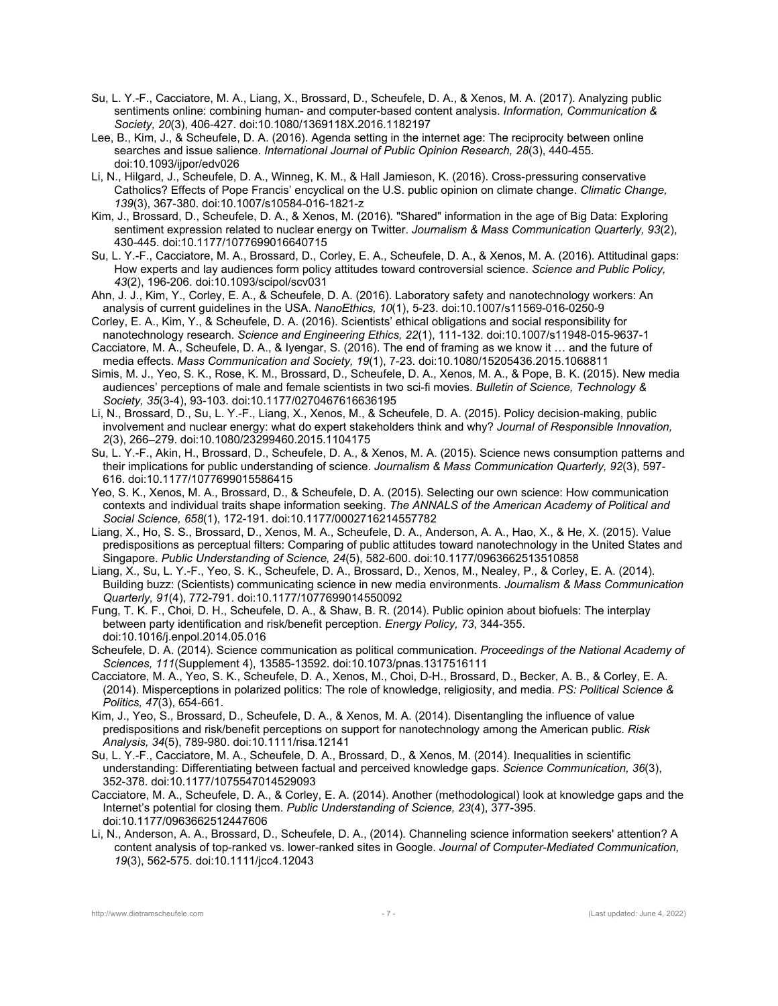- Su, L. Y.-F., Cacciatore, M. A., Liang, X., Brossard, D., Scheufele, D. A., & Xenos, M. A. (2017). Analyzing public sentiments online: combining human- and computer-based content analysis. *Information, Communication & Society, 20*(3), 406-427. doi:10.1080/1369118X.2016.1182197
- Lee, B., Kim, J., & Scheufele, D. A. (2016). Agenda setting in the internet age: The reciprocity between online searches and issue salience. *International Journal of Public Opinion Research, 28*(3), 440-455. doi:10.1093/ijpor/edv026
- Li, N., Hilgard, J., Scheufele, D. A., Winneg, K. M., & Hall Jamieson, K. (2016). Cross-pressuring conservative Catholics? Effects of Pope Francis' encyclical on the U.S. public opinion on climate change. *Climatic Change, 139*(3), 367-380. doi:10.1007/s10584-016-1821-z
- Kim, J., Brossard, D., Scheufele, D. A., & Xenos, M. (2016). "Shared" information in the age of Big Data: Exploring sentiment expression related to nuclear energy on Twitter. *Journalism & Mass Communication Quarterly, 93*(2), 430-445. doi:10.1177/1077699016640715
- Su, L. Y.-F., Cacciatore, M. A., Brossard, D., Corley, E. A., Scheufele, D. A., & Xenos, M. A. (2016). Attitudinal gaps: How experts and lay audiences form policy attitudes toward controversial science. *Science and Public Policy, 43*(2), 196-206. doi:10.1093/scipol/scv031
- Ahn, J. J., Kim, Y., Corley, E. A., & Scheufele, D. A. (2016). Laboratory safety and nanotechnology workers: An analysis of current guidelines in the USA. *NanoEthics, 10*(1), 5-23. doi:10.1007/s11569-016-0250-9
- Corley, E. A., Kim, Y., & Scheufele, D. A. (2016). Scientists' ethical obligations and social responsibility for nanotechnology research. *Science and Engineering Ethics, 22*(1), 111-132. doi:10.1007/s11948-015-9637-1
- Cacciatore, M. A., Scheufele, D. A., & Iyengar, S. (2016). The end of framing as we know it … and the future of media effects. *Mass Communication and Society, 19*(1), 7-23. doi:10.1080/15205436.2015.1068811
- Simis, M. J., Yeo, S. K., Rose, K. M., Brossard, D., Scheufele, D. A., Xenos, M. A., & Pope, B. K. (2015). New media audiences' perceptions of male and female scientists in two sci-fi movies. *Bulletin of Science, Technology & Society, 35*(3-4), 93-103. doi:10.1177/0270467616636195
- Li, N., Brossard, D., Su, L. Y.-F., Liang, X., Xenos, M., & Scheufele, D. A. (2015). Policy decision-making, public involvement and nuclear energy: what do expert stakeholders think and why? *Journal of Responsible Innovation, 2*(3), 266–279. doi:10.1080/23299460.2015.1104175
- Su, L. Y.-F., Akin, H., Brossard, D., Scheufele, D. A., & Xenos, M. A. (2015). Science news consumption patterns and their implications for public understanding of science. *Journalism & Mass Communication Quarterly, 92*(3), 597- 616. doi:10.1177/1077699015586415
- Yeo, S. K., Xenos, M. A., Brossard, D., & Scheufele, D. A. (2015). Selecting our own science: How communication contexts and individual traits shape information seeking. *The ANNALS of the American Academy of Political and Social Science, 658*(1), 172-191. doi:10.1177/0002716214557782
- Liang, X., Ho, S. S., Brossard, D., Xenos, M. A., Scheufele, D. A., Anderson, A. A., Hao, X., & He, X. (2015). Value predispositions as perceptual filters: Comparing of public attitudes toward nanotechnology in the United States and Singapore. *Public Understanding of Science, 24*(5), 582-600. doi:10.1177/0963662513510858
- Liang, X., Su, L. Y.-F., Yeo, S. K., Scheufele, D. A., Brossard, D., Xenos, M., Nealey, P., & Corley, E. A. (2014). Building buzz: (Scientists) communicating science in new media environments. *Journalism & Mass Communication Quarterly, 91*(4), 772-791. doi:10.1177/1077699014550092
- Fung, T. K. F., Choi, D. H., Scheufele, D. A., & Shaw, B. R. (2014). Public opinion about biofuels: The interplay between party identification and risk/benefit perception. *Energy Policy, 73*, 344-355. doi:10.1016/j.enpol.2014.05.016
- Scheufele, D. A. (2014). Science communication as political communication. *Proceedings of the National Academy of Sciences, 111*(Supplement 4), 13585-13592. doi:10.1073/pnas.1317516111
- Cacciatore, M. A., Yeo, S. K., Scheufele, D. A., Xenos, M., Choi, D-H., Brossard, D., Becker, A. B., & Corley, E. A. (2014). Misperceptions in polarized politics: The role of knowledge, religiosity, and media. *PS: Political Science & Politics, 47*(3), 654-661.
- Kim, J., Yeo, S., Brossard, D., Scheufele, D. A., & Xenos, M. A. (2014). Disentangling the influence of value predispositions and risk/benefit perceptions on support for nanotechnology among the American public. *Risk Analysis, 34*(5), 789-980. doi:10.1111/risa.12141
- Su, L. Y.-F., Cacciatore, M. A., Scheufele, D. A., Brossard, D., & Xenos, M. (2014). Inequalities in scientific understanding: Differentiating between factual and perceived knowledge gaps. *Science Communication, 36*(3), 352-378. doi:10.1177/1075547014529093
- Cacciatore, M. A., Scheufele, D. A., & Corley, E. A. (2014). Another (methodological) look at knowledge gaps and the Internet's potential for closing them. *Public Understanding of Science, 23*(4), 377-395. doi:10.1177/0963662512447606
- Li, N., Anderson, A. A., Brossard, D., Scheufele, D. A., (2014). Channeling science information seekers' attention? A content analysis of top-ranked vs. lower-ranked sites in Google. *Journal of Computer-Mediated Communication, 19*(3), 562-575. doi:10.1111/jcc4.12043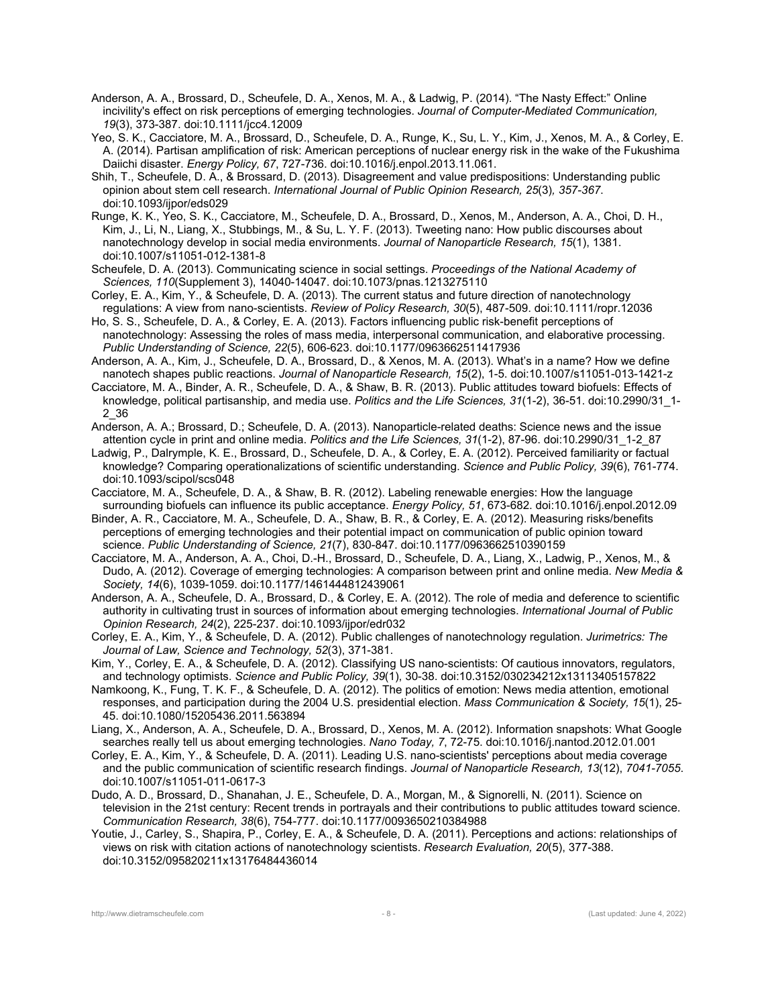- Anderson, A. A., Brossard, D., Scheufele, D. A., Xenos, M. A., & Ladwig, P. (2014). "The Nasty Effect:" Online incivility's effect on risk perceptions of emerging technologies. *Journal of Computer-Mediated Communication, 19*(3), 373-387. doi:10.1111/jcc4.12009
- Yeo, S. K., Cacciatore, M. A., Brossard, D., Scheufele, D. A., Runge, K., Su, L. Y., Kim, J., Xenos, M. A., & Corley, E. A. (2014). Partisan amplification of risk: American perceptions of nuclear energy risk in the wake of the Fukushima Daiichi disaster. *Energy Policy, 67*, 727-736. doi:10.1016/j.enpol.2013.11.061.
- Shih, T., Scheufele, D. A., & Brossard, D. (2013). Disagreement and value predispositions: Understanding public opinion about stem cell research. *International Journal of Public Opinion Research, 25*(3)*, 357-367*. doi:10.1093/ijpor/eds029
- Runge, K. K., Yeo, S. K., Cacciatore, M., Scheufele, D. A., Brossard, D., Xenos, M., Anderson, A. A., Choi, D. H., Kim, J., Li, N., Liang, X., Stubbings, M., & Su, L. Y. F. (2013). Tweeting nano: How public discourses about nanotechnology develop in social media environments. *Journal of Nanoparticle Research, 15*(1), 1381. doi:10.1007/s11051-012-1381-8
- Scheufele, D. A. (2013). Communicating science in social settings. *Proceedings of the National Academy of Sciences, 110*(Supplement 3), 14040-14047. doi:10.1073/pnas.1213275110
- Corley, E. A., Kim, Y., & Scheufele, D. A. (2013). The current status and future direction of nanotechnology regulations: A view from nano-scientists. *Review of Policy Research, 30*(5), 487-509. doi:10.1111/ropr.12036
- Ho, S. S., Scheufele, D. A., & Corley, E. A. (2013). Factors influencing public risk-benefit perceptions of nanotechnology: Assessing the roles of mass media, interpersonal communication, and elaborative processing. *Public Understanding of Science, 22*(5), 606-623. doi:10.1177/0963662511417936
- Anderson, A. A., Kim, J., Scheufele, D. A., Brossard, D., & Xenos, M. A. (2013). What's in a name? How we define nanotech shapes public reactions. *Journal of Nanoparticle Research, 15*(2), 1-5. doi:10.1007/s11051-013-1421-z
- Cacciatore, M. A., Binder, A. R., Scheufele, D. A., & Shaw, B. R. (2013). Public attitudes toward biofuels: Effects of knowledge, political partisanship, and media use. *Politics and the Life Sciences, 31*(1-2), 36-51. doi:10.2990/31\_1- 2\_36
- Anderson, A. A.; Brossard, D.; Scheufele, D. A. (2013). Nanoparticle-related deaths: Science news and the issue attention cycle in print and online media. *Politics and the Life Sciences, 31*(1-2), 87-96. doi:10.2990/31\_1-2\_87
- Ladwig, P., Dalrymple, K. E., Brossard, D., Scheufele, D. A., & Corley, E. A. (2012). Perceived familiarity or factual knowledge? Comparing operationalizations of scientific understanding. *Science and Public Policy, 39*(6), 761-774. doi:10.1093/scipol/scs048
- Cacciatore, M. A., Scheufele, D. A., & Shaw, B. R. (2012). Labeling renewable energies: How the language surrounding biofuels can influence its public acceptance. *Energy Policy, 51*, 673-682. doi:10.1016/j.enpol.2012.09
- Binder, A. R., Cacciatore, M. A., Scheufele, D. A., Shaw, B. R., & Corley, E. A. (2012). Measuring risks/benefits perceptions of emerging technologies and their potential impact on communication of public opinion toward science. *Public Understanding of Science, 21*(7), 830-847. doi:10.1177/0963662510390159
- Cacciatore, M. A., Anderson, A. A., Choi, D.-H., Brossard, D., Scheufele, D. A., Liang, X., Ladwig, P., Xenos, M., & Dudo, A. (2012). Coverage of emerging technologies: A comparison between print and online media. *New Media & Society, 14*(6), 1039-1059. doi:10.1177/1461444812439061
- Anderson, A. A., Scheufele, D. A., Brossard, D., & Corley, E. A. (2012). The role of media and deference to scientific authority in cultivating trust in sources of information about emerging technologies. *International Journal of Public Opinion Research, 24*(2), 225-237. doi:10.1093/ijpor/edr032
- Corley, E. A., Kim, Y., & Scheufele, D. A. (2012). Public challenges of nanotechnology regulation. *Jurimetrics: The Journal of Law, Science and Technology, 52*(3), 371-381.
- Kim, Y., Corley, E. A., & Scheufele, D. A. (2012). Classifying US nano-scientists: Of cautious innovators, regulators, and technology optimists. *Science and Public Policy, 39*(1), 30-38. doi:10.3152/030234212x13113405157822
- Namkoong, K., Fung, T. K. F., & Scheufele, D. A. (2012). The politics of emotion: News media attention, emotional responses, and participation during the 2004 U.S. presidential election. *Mass Communication & Society, 15*(1), 25- 45. doi:10.1080/15205436.2011.563894
- Liang, X., Anderson, A. A., Scheufele, D. A., Brossard, D., Xenos, M. A. (2012). Information snapshots: What Google searches really tell us about emerging technologies. *Nano Today, 7*, 72-75. doi:10.1016/j.nantod.2012.01.001
- Corley, E. A., Kim, Y., & Scheufele, D. A. (2011). Leading U.S. nano-scientists' perceptions about media coverage and the public communication of scientific research findings. *Journal of Nanoparticle Research, 13*(12), *7041-7055*. doi:10.1007/s11051-011-0617-3
- Dudo, A. D., Brossard, D., Shanahan, J. E., Scheufele, D. A., Morgan, M., & Signorelli, N. (2011). Science on television in the 21st century: Recent trends in portrayals and their contributions to public attitudes toward science. *Communication Research, 38*(6), 754-777. doi:10.1177/0093650210384988
- Youtie, J., Carley, S., Shapira, P., Corley, E. A., & Scheufele, D. A. (2011). Perceptions and actions: relationships of views on risk with citation actions of nanotechnology scientists. *Research Evaluation, 20*(5), 377-388. doi:10.3152/095820211x13176484436014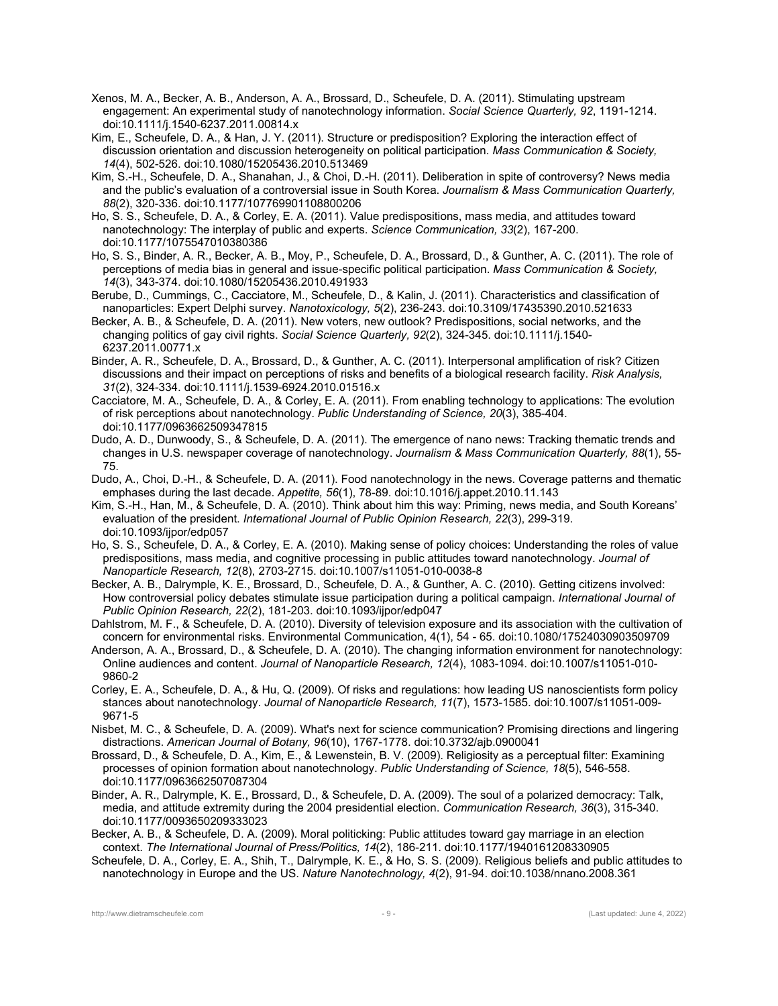- Xenos, M. A., Becker, A. B., Anderson, A. A., Brossard, D., Scheufele, D. A. (2011). Stimulating upstream engagement: An experimental study of nanotechnology information. *Social Science Quarterly, 92*, 1191-1214. doi:10.1111/j.1540-6237.2011.00814.x
- Kim, E., Scheufele, D. A., & Han, J. Y. (2011). Structure or predisposition? Exploring the interaction effect of discussion orientation and discussion heterogeneity on political participation. *Mass Communication & Society, 14*(4), 502-526. doi:10.1080/15205436.2010.513469
- Kim, S.-H., Scheufele, D. A., Shanahan, J., & Choi, D.-H. (2011). Deliberation in spite of controversy? News media and the public's evaluation of a controversial issue in South Korea. *Journalism & Mass Communication Quarterly, 88*(2), 320-336. doi:10.1177/107769901108800206
- Ho, S. S., Scheufele, D. A., & Corley, E. A. (2011). Value predispositions, mass media, and attitudes toward nanotechnology: The interplay of public and experts. *Science Communication, 33*(2), 167-200. doi:10.1177/1075547010380386
- Ho, S. S., Binder, A. R., Becker, A. B., Moy, P., Scheufele, D. A., Brossard, D., & Gunther, A. C. (2011). The role of perceptions of media bias in general and issue-specific political participation. *Mass Communication & Society, 14*(3), 343-374. doi:10.1080/15205436.2010.491933
- Berube, D., Cummings, C., Cacciatore, M., Scheufele, D., & Kalin, J. (2011). Characteristics and classification of nanoparticles: Expert Delphi survey. *Nanotoxicology, 5*(2), 236-243. doi:10.3109/17435390.2010.521633
- Becker, A. B., & Scheufele, D. A. (2011). New voters, new outlook? Predispositions, social networks, and the changing politics of gay civil rights. *Social Science Quarterly, 92*(2), 324-345. doi:10.1111/j.1540- 6237.2011.00771.x
- Binder, A. R., Scheufele, D. A., Brossard, D., & Gunther, A. C. (2011). Interpersonal amplification of risk? Citizen discussions and their impact on perceptions of risks and benefits of a biological research facility. *Risk Analysis, 31*(2), 324-334. doi:10.1111/j.1539-6924.2010.01516.x
- Cacciatore, M. A., Scheufele, D. A., & Corley, E. A. (2011). From enabling technology to applications: The evolution of risk perceptions about nanotechnology. *Public Understanding of Science, 20*(3), 385-404. doi:10.1177/0963662509347815
- Dudo, A. D., Dunwoody, S., & Scheufele, D. A. (2011). The emergence of nano news: Tracking thematic trends and changes in U.S. newspaper coverage of nanotechnology. *Journalism & Mass Communication Quarterly, 88*(1), 55- 75.
- Dudo, A., Choi, D.-H., & Scheufele, D. A. (2011). Food nanotechnology in the news. Coverage patterns and thematic emphases during the last decade. *Appetite, 56*(1), 78-89. doi:10.1016/j.appet.2010.11.143
- Kim, S.-H., Han, M., & Scheufele, D. A. (2010). Think about him this way: Priming, news media, and South Koreans' evaluation of the president. *International Journal of Public Opinion Research, 22*(3), 299-319. doi:10.1093/ijpor/edp057
- Ho, S. S., Scheufele, D. A., & Corley, E. A. (2010). Making sense of policy choices: Understanding the roles of value predispositions, mass media, and cognitive processing in public attitudes toward nanotechnology. *Journal of Nanoparticle Research, 12*(8), 2703-2715. doi:10.1007/s11051-010-0038-8
- Becker, A. B., Dalrymple, K. E., Brossard, D., Scheufele, D. A., & Gunther, A. C. (2010). Getting citizens involved: How controversial policy debates stimulate issue participation during a political campaign. *International Journal of Public Opinion Research, 22*(2), 181-203. doi:10.1093/ijpor/edp047
- Dahlstrom, M. F., & Scheufele, D. A. (2010). Diversity of television exposure and its association with the cultivation of concern for environmental risks. Environmental Communication, 4(1), 54 - 65. doi:10.1080/17524030903509709
- Anderson, A. A., Brossard, D., & Scheufele, D. A. (2010). The changing information environment for nanotechnology: Online audiences and content. *Journal of Nanoparticle Research, 12*(4), 1083-1094. doi:10.1007/s11051-010- 9860-2
- Corley, E. A., Scheufele, D. A., & Hu, Q. (2009). Of risks and regulations: how leading US nanoscientists form policy stances about nanotechnology. *Journal of Nanoparticle Research, 11*(7), 1573-1585. doi:10.1007/s11051-009- 9671-5
- Nisbet, M. C., & Scheufele, D. A. (2009). What's next for science communication? Promising directions and lingering distractions. *American Journal of Botany, 96*(10), 1767-1778. doi:10.3732/ajb.0900041
- Brossard, D., & Scheufele, D. A., Kim, E., & Lewenstein, B. V. (2009). Religiosity as a perceptual filter: Examining processes of opinion formation about nanotechnology. *Public Understanding of Science, 18*(5), 546-558. doi:10.1177/0963662507087304
- Binder, A. R., Dalrymple, K. E., Brossard, D., & Scheufele, D. A. (2009). The soul of a polarized democracy: Talk, media, and attitude extremity during the 2004 presidential election. *Communication Research, 36*(3), 315-340. doi:10.1177/0093650209333023
- Becker, A. B., & Scheufele, D. A. (2009). Moral politicking: Public attitudes toward gay marriage in an election context. *The International Journal of Press/Politics, 14*(2), 186-211. doi:10.1177/1940161208330905
- Scheufele, D. A., Corley, E. A., Shih, T., Dalrymple, K. E., & Ho, S. S. (2009). Religious beliefs and public attitudes to nanotechnology in Europe and the US. *Nature Nanotechnology, 4*(2), 91-94. doi:10.1038/nnano.2008.361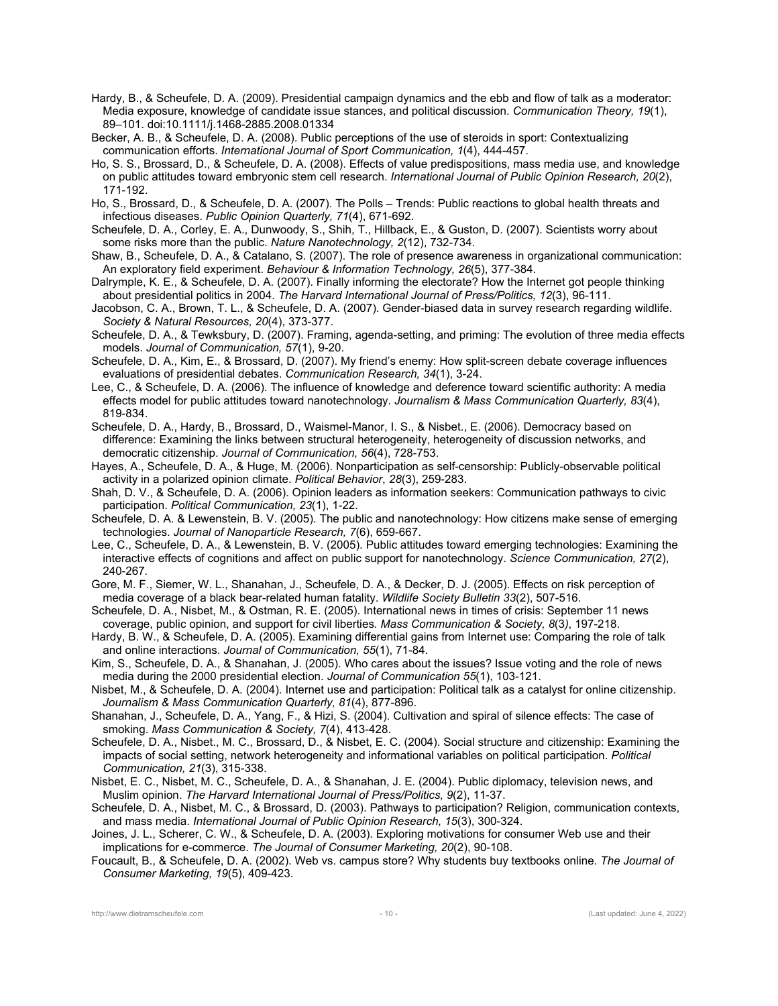- Hardy, B., & Scheufele, D. A. (2009). Presidential campaign dynamics and the ebb and flow of talk as a moderator: Media exposure, knowledge of candidate issue stances, and political discussion. *Communication Theory, 19*(1), 89–101. doi:10.1111/j.1468-2885.2008.01334
- Becker, A. B., & Scheufele, D. A. (2008). Public perceptions of the use of steroids in sport: Contextualizing communication efforts. *International Journal of Sport Communication, 1*(4), 444-457.
- Ho, S. S., Brossard, D., & Scheufele, D. A. (2008). Effects of value predispositions, mass media use, and knowledge on public attitudes toward embryonic stem cell research. *International Journal of Public Opinion Research, 20*(2), 171-192.
- Ho, S., Brossard, D., & Scheufele, D. A. (2007). The Polls Trends: Public reactions to global health threats and infectious diseases. *Public Opinion Quarterly, 71*(4), 671-692.
- Scheufele, D. A., Corley, E. A., Dunwoody, S., Shih, T., Hillback, E., & Guston, D. (2007). Scientists worry about some risks more than the public. *Nature Nanotechnology, 2*(12), 732-734.
- Shaw, B., Scheufele, D. A., & Catalano, S. (2007). The role of presence awareness in organizational communication: An exploratory field experiment. *Behaviour & Information Technology, 26*(5), 377-384.
- Dalrymple, K. E., & Scheufele, D. A. (2007). Finally informing the electorate? How the Internet got people thinking about presidential politics in 2004. *The Harvard International Journal of Press/Politics, 12*(3), 96-111.
- Jacobson, C. A., Brown, T. L., & Scheufele, D. A. (2007). Gender-biased data in survey research regarding wildlife. *Society & Natural Resources, 20*(4), 373-377.
- Scheufele, D. A., & Tewksbury, D. (2007). Framing, agenda-setting, and priming: The evolution of three media effects models. *Journal of Communication, 57*(1), 9-20.
- Scheufele, D. A., Kim, E., & Brossard, D. (2007). My friend's enemy: How split-screen debate coverage influences evaluations of presidential debates. *Communication Research, 34*(1), 3-24.
- Lee, C., & Scheufele, D. A. (2006). The influence of knowledge and deference toward scientific authority: A media effects model for public attitudes toward nanotechnology. *Journalism & Mass Communication Quarterly, 83*(4), 819-834.
- Scheufele, D. A., Hardy, B., Brossard, D., Waismel-Manor, I. S., & Nisbet., E. (2006). Democracy based on difference: Examining the links between structural heterogeneity, heterogeneity of discussion networks, and democratic citizenship. *Journal of Communication, 56*(4), 728-753.
- Hayes, A., Scheufele, D. A., & Huge, M. (2006). Nonparticipation as self-censorship: Publicly-observable political activity in a polarized opinion climate. *Political Behavior*, *28*(3), 259-283.
- Shah, D. V., & Scheufele, D. A. (2006). Opinion leaders as information seekers: Communication pathways to civic participation. *Political Communication, 23*(1), 1-22.
- Scheufele, D. A. & Lewenstein, B. V. (2005). The public and nanotechnology: How citizens make sense of emerging technologies. *Journal of Nanoparticle Research, 7*(6), 659-667.
- Lee, C., Scheufele, D. A., & Lewenstein, B. V. (2005). Public attitudes toward emerging technologies: Examining the interactive effects of cognitions and affect on public support for nanotechnology. *Science Communication, 27*(2), 240-267*.*
- Gore, M. F., Siemer, W. L., Shanahan, J., Scheufele, D. A., & Decker, D. J. (2005). Effects on risk perception of media coverage of a black bear-related human fatality. *Wildlife Society Bulletin 33*(2), 507-516.
- Scheufele, D. A., Nisbet, M., & Ostman, R. E. (2005). International news in times of crisis: September 11 news coverage, public opinion, and support for civil liberties*. Mass Communication & Society, 8*(3*)*, 197-218.
- Hardy, B. W., & Scheufele, D. A. (2005). Examining differential gains from Internet use: Comparing the role of talk and online interactions. *Journal of Communication, 55*(1), 71-84.
- Kim, S., Scheufele, D. A., & Shanahan, J. (2005). Who cares about the issues? Issue voting and the role of news media during the 2000 presidential election. *Journal of Communication 55*(1), 103-121.
- Nisbet, M., & Scheufele, D. A. (2004). Internet use and participation: Political talk as a catalyst for online citizenship. *Journalism & Mass Communication Quarterly, 81*(4), 877-896.
- Shanahan, J., Scheufele, D. A., Yang, F., & Hizi, S. (2004). Cultivation and spiral of silence effects: The case of smoking. *Mass Communication & Society, 7*(4), 413-428.
- Scheufele, D. A., Nisbet., M. C., Brossard, D., & Nisbet, E. C. (2004). Social structure and citizenship: Examining the impacts of social setting, network heterogeneity and informational variables on political participation. *Political Communication, 21*(3), 315-338.
- Nisbet, E. C., Nisbet, M. C., Scheufele, D. A., & Shanahan, J. E. (2004). Public diplomacy, television news, and Muslim opinion. *The Harvard International Journal of Press/Politics, 9*(2), 11-37.
- Scheufele, D. A., Nisbet, M. C., & Brossard, D. (2003). Pathways to participation? Religion, communication contexts, and mass media. *International Journal of Public Opinion Research, 15*(3), 300-324.
- Joines, J. L., Scherer, C. W., & Scheufele, D. A. (2003). Exploring motivations for consumer Web use and their implications for e-commerce. *The Journal of Consumer Marketing, 20*(2), 90-108.
- Foucault, B., & Scheufele, D. A. (2002). Web vs. campus store? Why students buy textbooks online. *The Journal of Consumer Marketing, 19*(5), 409-423.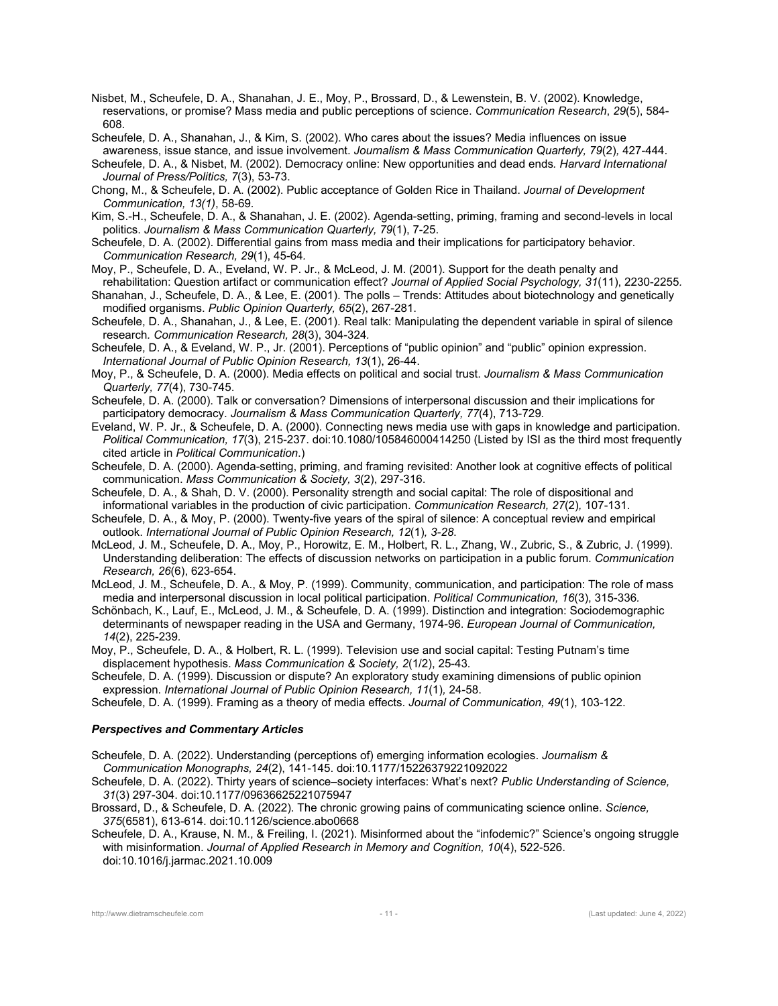- Nisbet, M., Scheufele, D. A., Shanahan, J. E., Moy, P., Brossard, D., & Lewenstein, B. V. (2002). Knowledge, reservations, or promise? Mass media and public perceptions of science. *Communication Research*, *29*(5), 584- 608.
- Scheufele, D. A., Shanahan, J., & Kim, S. (2002). Who cares about the issues? Media influences on issue
- awareness, issue stance, and issue involvement. *Journalism & Mass Communication Quarterly, 79*(2)*,* 427-444. Scheufele, D. A., & Nisbet, M. (2002). Democracy online: New opportunities and dead ends*. Harvard International Journal of Press/Politics, 7*(3), 53-73.
- Chong, M., & Scheufele, D. A. (2002). Public acceptance of Golden Rice in Thailand. *Journal of Development Communication, 13(1)*, 58-69*.*
- Kim, S.-H., Scheufele, D. A., & Shanahan, J. E. (2002). Agenda-setting, priming, framing and second-levels in local politics. *Journalism & Mass Communication Quarterly, 79*(1), 7-25.
- Scheufele, D. A. (2002). Differential gains from mass media and their implications for participatory behavior. *Communication Research, 29*(1), 45-64*.*
- Moy, P., Scheufele, D. A., Eveland, W. P. Jr., & McLeod, J. M. (2001). Support for the death penalty and rehabilitation: Question artifact or communication effect? *Journal of Applied Social Psychology, 31*(11), 2230-2255*.*
- Shanahan, J., Scheufele, D. A., & Lee, E. (2001). The polls Trends: Attitudes about biotechnology and genetically modified organisms. *Public Opinion Quarterly, 65*(2), 267-281.
- Scheufele, D. A., Shanahan, J., & Lee, E. (2001). Real talk: Manipulating the dependent variable in spiral of silence research*. Communication Research, 28*(3), 304-324*.*
- Scheufele, D. A., & Eveland, W. P., Jr. (2001). Perceptions of "public opinion" and "public" opinion expression. *International Journal of Public Opinion Research, 13*(1), 26-44.
- Moy, P., & Scheufele, D. A. (2000). Media effects on political and social trust. *Journalism & Mass Communication Quarterly, 77*(4), 730-745.
- Scheufele, D. A. (2000). Talk or conversation? Dimensions of interpersonal discussion and their implications for participatory democracy. *Journalism & Mass Communication Quarterly, 77*(4), 713-729*.*
- Eveland, W. P. Jr., & Scheufele, D. A. (2000). Connecting news media use with gaps in knowledge and participation. *Political Communication, 17*(3), 215-237. doi:10.1080/105846000414250 (Listed by ISI as the third most frequently cited article in *Political Communication*.)
- Scheufele, D. A. (2000). Agenda-setting, priming, and framing revisited: Another look at cognitive effects of political communication. *Mass Communication & Society, 3*(2), 297-316.
- Scheufele, D. A., & Shah, D. V. (2000). Personality strength and social capital: The role of dispositional and informational variables in the production of civic participation. *Communication Research, 27*(2)*,* 107-131.
- Scheufele, D. A., & Moy, P. (2000). Twenty-five years of the spiral of silence: A conceptual review and empirical outlook. *International Journal of Public Opinion Research, 12*(1)*, 3-28*.
- McLeod, J. M., Scheufele, D. A., Moy, P., Horowitz, E. M., Holbert, R. L., Zhang, W., Zubric, S., & Zubric, J. (1999). Understanding deliberation: The effects of discussion networks on participation in a public forum. *Communication Research, 26*(6), 623-654.
- McLeod, J. M., Scheufele, D. A., & Moy, P. (1999). Community, communication, and participation: The role of mass media and interpersonal discussion in local political participation. *Political Communication, 16*(3), 315-336*.*
- Schönbach, K., Lauf, E., McLeod, J. M., & Scheufele, D. A. (1999). Distinction and integration: Sociodemographic determinants of newspaper reading in the USA and Germany, 1974-96. *European Journal of Communication, 14*(2), 225-239*.*
- Moy, P., Scheufele, D. A., & Holbert, R. L. (1999). Television use and social capital: Testing Putnam's time displacement hypothesis. *Mass Communication & Society, 2*(1/2), 25-43*.*
- Scheufele, D. A. (1999). Discussion or dispute? An exploratory study examining dimensions of public opinion expression. *International Journal of Public Opinion Research, 11*(1)*,* 24-58.
- Scheufele, D. A. (1999). Framing as a theory of media effects. *Journal of Communication, 49*(1), 103-122.

#### *Perspectives and Commentary Articles*

- Scheufele, D. A. (2022). Understanding (perceptions of) emerging information ecologies. *Journalism & Communication Monographs, 24*(2), 141-145. doi:10.1177/15226379221092022
- Scheufele, D. A. (2022). Thirty years of science–society interfaces: What's next? *Public Understanding of Science, 31*(3) 297-304. doi:10.1177/09636625221075947
- Brossard, D., & Scheufele, D. A. (2022). The chronic growing pains of communicating science online. *Science, 375*(6581), 613-614. doi:10.1126/science.abo0668
- Scheufele, D. A., Krause, N. M., & Freiling, I. (2021). Misinformed about the "infodemic?" Science's ongoing struggle with misinformation. *Journal of Applied Research in Memory and Cognition, 10*(4), 522-526. doi:10.1016/j.jarmac.2021.10.009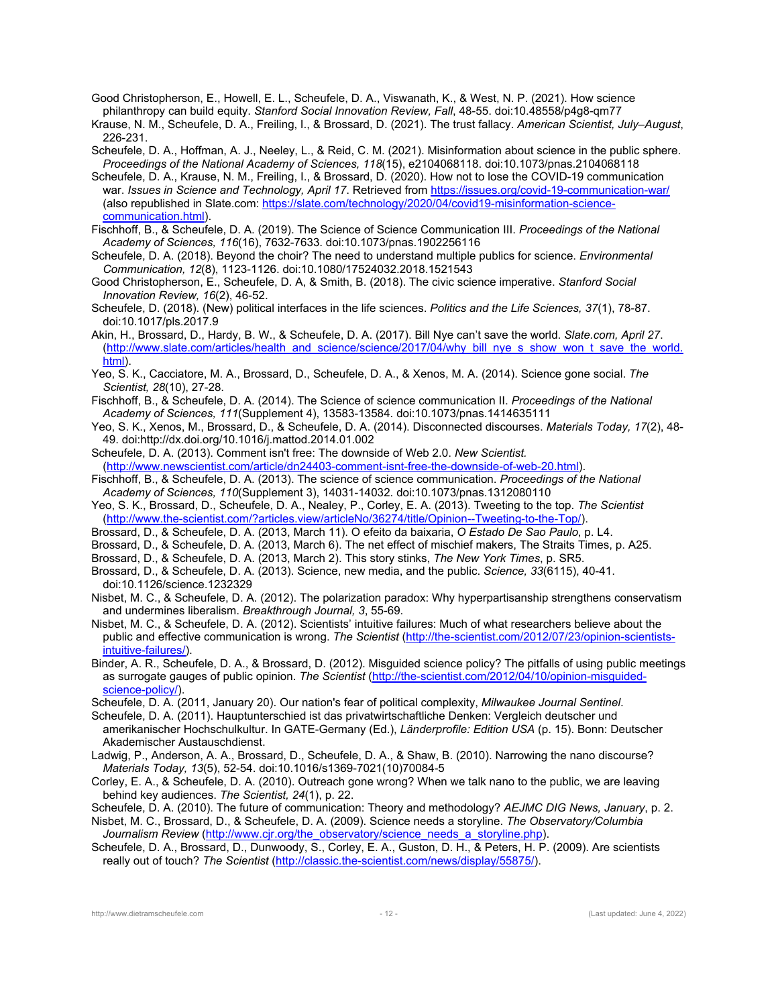Good Christopherson, E., Howell, E. L., Scheufele, D. A., Viswanath, K., & West, N. P. (2021). How science philanthropy can build equity. *Stanford Social Innovation Review, Fall*, 48-55. doi:10.48558/p4g8-qm77

Krause, N. M., Scheufele, D. A., Freiling, I., & Brossard, D. (2021). The trust fallacy. *American Scientist, July–August*, 226-231.

Scheufele, D. A., Hoffman, A. J., Neeley, L., & Reid, C. M. (2021). Misinformation about science in the public sphere. *Proceedings of the National Academy of Sciences, 118*(15), e2104068118. doi:10.1073/pnas.2104068118

Scheufele, D. A., Krause, N. M., Freiling, I., & Brossard, D. (2020). How not to lose the COVID-19 communication war. *Issues in Science and Technology, April 17*. Retrieved from https://issues.org/covid-19-communication-war/ (also republished in Slate.com: https://slate.com/technology/2020/04/covid19-misinformation-sciencecommunication.html).

Fischhoff, B., & Scheufele, D. A. (2019). The Science of Science Communication III. *Proceedings of the National Academy of Sciences, 116*(16), 7632-7633. doi:10.1073/pnas.1902256116

Scheufele, D. A. (2018). Beyond the choir? The need to understand multiple publics for science. *Environmental Communication, 12*(8), 1123-1126. doi:10.1080/17524032.2018.1521543

Good Christopherson, E., Scheufele, D. A, & Smith, B. (2018). The civic science imperative. *Stanford Social Innovation Review, 16*(2), 46-52.

Scheufele, D. (2018). (New) political interfaces in the life sciences. *Politics and the Life Sciences, 37*(1), 78-87. doi:10.1017/pls.2017.9

Akin, H., Brossard, D., Hardy, B. W., & Scheufele, D. A. (2017). Bill Nye can't save the world. *Slate.com, April 27*. (http://www.slate.com/articles/health\_and\_science/science/2017/04/why\_bill\_nye\_s\_show\_won\_t\_save\_the\_world. html).

Yeo, S. K., Cacciatore, M. A., Brossard, D., Scheufele, D. A., & Xenos, M. A. (2014). Science gone social. *The Scientist, 28*(10), 27-28.

Fischhoff, B., & Scheufele, D. A. (2014). The Science of science communication II. *Proceedings of the National Academy of Sciences, 111*(Supplement 4), 13583-13584. doi:10.1073/pnas.1414635111

- Yeo, S. K., Xenos, M., Brossard, D., & Scheufele, D. A. (2014). Disconnected discourses. *Materials Today, 17*(2), 48- 49. doi:http://dx.doi.org/10.1016/j.mattod.2014.01.002
- Scheufele, D. A. (2013). Comment isn't free: The downside of Web 2.0. *New Scientist.*  (http://www.newscientist.com/article/dn24403-comment-isnt-free-the-downside-of-web-20.html).

Fischhoff, B., & Scheufele, D. A. (2013). The science of science communication. *Proceedings of the National Academy of Sciences, 110*(Supplement 3), 14031-14032. doi:10.1073/pnas.1312080110

Yeo, S. K., Brossard, D., Scheufele, D. A., Nealey, P., Corley, E. A. (2013). Tweeting to the top. *The Scientist* (http://www.the-scientist.com/?articles.view/articleNo/36274/title/Opinion--Tweeting-to-the-Top/).

- Brossard, D., & Scheufele, D. A. (2013, March 11). O efeito da baixaria, *O Estado De Sao Paulo*, p. L4.
- Brossard, D., & Scheufele, D. A. (2013, March 6). The net effect of mischief makers, The Straits Times, p. A25.

Brossard, D., & Scheufele, D. A. (2013, March 2). This story stinks, *The New York Times*, p. SR5.

Brossard, D., & Scheufele, D. A. (2013). Science, new media, and the public. *Science, 33*(6115), 40-41. doi:10.1126/science.1232329

Nisbet, M. C., & Scheufele, D. A. (2012). The polarization paradox: Why hyperpartisanship strengthens conservatism and undermines liberalism. *Breakthrough Journal, 3*, 55-69.

Nisbet, M. C., & Scheufele, D. A. (2012). Scientists' intuitive failures: Much of what researchers believe about the public and effective communication is wrong. *The Scientist* (http://the-scientist.com/2012/07/23/opinion-scientistsintuitive-failures/).

Binder, A. R., Scheufele, D. A., & Brossard, D. (2012). Misguided science policy? The pitfalls of using public meetings as surrogate gauges of public opinion. *The Scientist* (http://the-scientist.com/2012/04/10/opinion-misguidedscience-policy/).

Scheufele, D. A. (2011, January 20). Our nation's fear of political complexity, *Milwaukee Journal Sentinel*.

Scheufele, D. A. (2011). Hauptunterschied ist das privatwirtschaftliche Denken: Vergleich deutscher und amerikanischer Hochschulkultur. In GATE-Germany (Ed.), *Länderprofile: Edition USA* (p. 15). Bonn: Deutscher Akademischer Austauschdienst.

Ladwig, P., Anderson, A. A., Brossard, D., Scheufele, D. A., & Shaw, B. (2010). Narrowing the nano discourse? *Materials Today, 13*(5), 52-54. doi:10.1016/s1369-7021(10)70084-5

Corley, E. A., & Scheufele, D. A. (2010). Outreach gone wrong? When we talk nano to the public, we are leaving behind key audiences. *The Scientist, 24*(1), p. 22.

Scheufele, D. A. (2010). The future of communication: Theory and methodology? *AEJMC DIG News, January*, p. 2.

- Nisbet, M. C., Brossard, D., & Scheufele, D. A. (2009). Science needs a storyline. *The Observatory/Columbia Journalism Review* (http://www.cjr.org/the\_observatory/science\_needs\_a\_storyline.php).
- Scheufele, D. A., Brossard, D., Dunwoody, S., Corley, E. A., Guston, D. H., & Peters, H. P. (2009). Are scientists really out of touch? *The Scientist* (http://classic.the-scientist.com/news/display/55875/).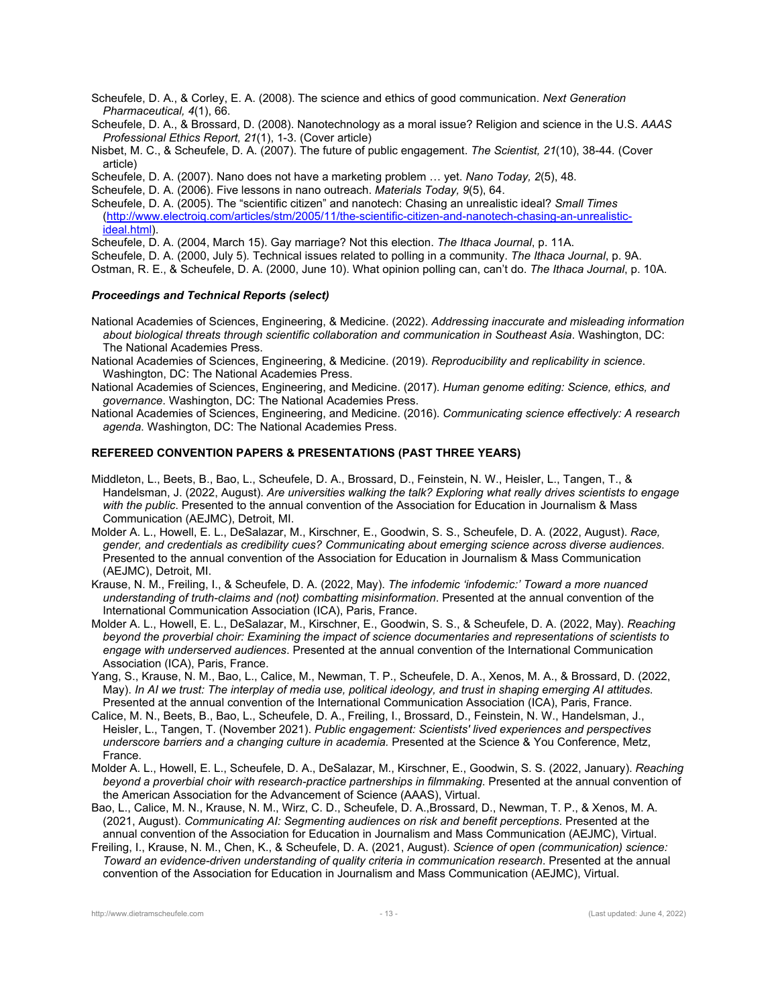Scheufele, D. A., & Corley, E. A. (2008). The science and ethics of good communication. *Next Generation Pharmaceutical, 4*(1), 66.

Scheufele, D. A., & Brossard, D. (2008). Nanotechnology as a moral issue? Religion and science in the U.S. *AAAS Professional Ethics Report, 21*(1), 1-3. (Cover article)

Nisbet, M. C., & Scheufele, D. A. (2007). The future of public engagement. *The Scientist, 21*(10), 38-44*.* (Cover article)

Scheufele, D. A. (2007). Nano does not have a marketing problem … yet. *Nano Today, 2*(5), 48.

Scheufele, D. A. (2006). Five lessons in nano outreach. *Materials Today, 9*(5), 64.

Scheufele, D. A. (2005). The "scientific citizen" and nanotech: Chasing an unrealistic ideal? *Small Times*  (http://www.electroiq.com/articles/stm/2005/11/the-scientific-citizen-and-nanotech-chasing-an-unrealisticideal.html).

Scheufele, D. A. (2004, March 15). Gay marriage? Not this election. *The Ithaca Journal*, p. 11A.

Scheufele, D. A. (2000, July 5)*.* Technical issues related to polling in a community. *The Ithaca Journal*, p. 9A.

Ostman, R. E., & Scheufele, D. A. (2000, June 10). What opinion polling can, can't do. *The Ithaca Journal*, p. 10A.

## *Proceedings and Technical Reports (select)*

National Academies of Sciences, Engineering, & Medicine. (2022). *Addressing inaccurate and misleading information about biological threats through scientific collaboration and communication in Southeast Asia*. Washington, DC: The National Academies Press.

National Academies of Sciences, Engineering, & Medicine. (2019). *Reproducibility and replicability in science*. Washington, DC: The National Academies Press.

National Academies of Sciences, Engineering, and Medicine. (2017). *Human genome editing: Science, ethics, and governance*. Washington, DC: The National Academies Press.

National Academies of Sciences, Engineering, and Medicine. (2016). *Communicating science effectively: A research agenda*. Washington, DC: The National Academies Press.

## **REFEREED CONVENTION PAPERS & PRESENTATIONS (PAST THREE YEARS)**

- Middleton, L., Beets, B., Bao, L., Scheufele, D. A., Brossard, D., Feinstein, N. W., Heisler, L., Tangen, T., & Handelsman, J. (2022, August). *Are universities walking the talk? Exploring what really drives scientists to engage with the public*. Presented to the annual convention of the Association for Education in Journalism & Mass Communication (AEJMC), Detroit, MI.
- Molder A. L., Howell, E. L., DeSalazar, M., Kirschner, E., Goodwin, S. S., Scheufele, D. A. (2022, August). *Race, gender, and credentials as credibility cues? Communicating about emerging science across diverse audiences*. Presented to the annual convention of the Association for Education in Journalism & Mass Communication (AEJMC), Detroit, MI.

Krause, N. M., Freiling, I., & Scheufele, D. A. (2022, May). *The infodemic 'infodemic:' Toward a more nuanced understanding of truth-claims and (not) combatting misinformation*. Presented at the annual convention of the International Communication Association (ICA), Paris, France.

- Molder A. L., Howell, E. L., DeSalazar, M., Kirschner, E., Goodwin, S. S., & Scheufele, D. A. (2022, May). *Reaching beyond the proverbial choir: Examining the impact of science documentaries and representations of scientists to engage with underserved audiences*. Presented at the annual convention of the International Communication Association (ICA), Paris, France.
- Yang, S., Krause, N. M., Bao, L., Calice, M., Newman, T. P., Scheufele, D. A., Xenos, M. A., & Brossard, D. (2022, May). *In AI we trust: The interplay of media use, political ideology, and trust in shaping emerging AI attitudes*. Presented at the annual convention of the International Communication Association (ICA), Paris, France.
- Calice, M. N., Beets, B., Bao, L., Scheufele, D. A., Freiling, I., Brossard, D., Feinstein, N. W., Handelsman, J., Heisler, L., Tangen, T. (November 2021). *Public engagement: Scientists' lived experiences and perspectives underscore barriers and a changing culture in academia.* Presented at the Science & You Conference, Metz, France.
- Molder A. L., Howell, E. L., Scheufele, D. A., DeSalazar, M., Kirschner, E., Goodwin, S. S. (2022, January). *Reaching beyond a proverbial choir with research-practice partnerships in filmmaking*. Presented at the annual convention of the American Association for the Advancement of Science (AAAS), Virtual.
- Bao, L., Calice, M. N., Krause, N. M., Wirz, C. D., Scheufele, D. A.,Brossard, D., Newman, T. P., & Xenos, M. A. (2021, August). *Communicating AI: Segmenting audiences on risk and benefit perceptions*. Presented at the annual convention of the Association for Education in Journalism and Mass Communication (AEJMC), Virtual.
- Freiling, I., Krause, N. M., Chen, K., & Scheufele, D. A. (2021, August). *Science of open (communication) science: Toward an evidence-driven understanding of quality criteria in communication research*. Presented at the annual convention of the Association for Education in Journalism and Mass Communication (AEJMC), Virtual.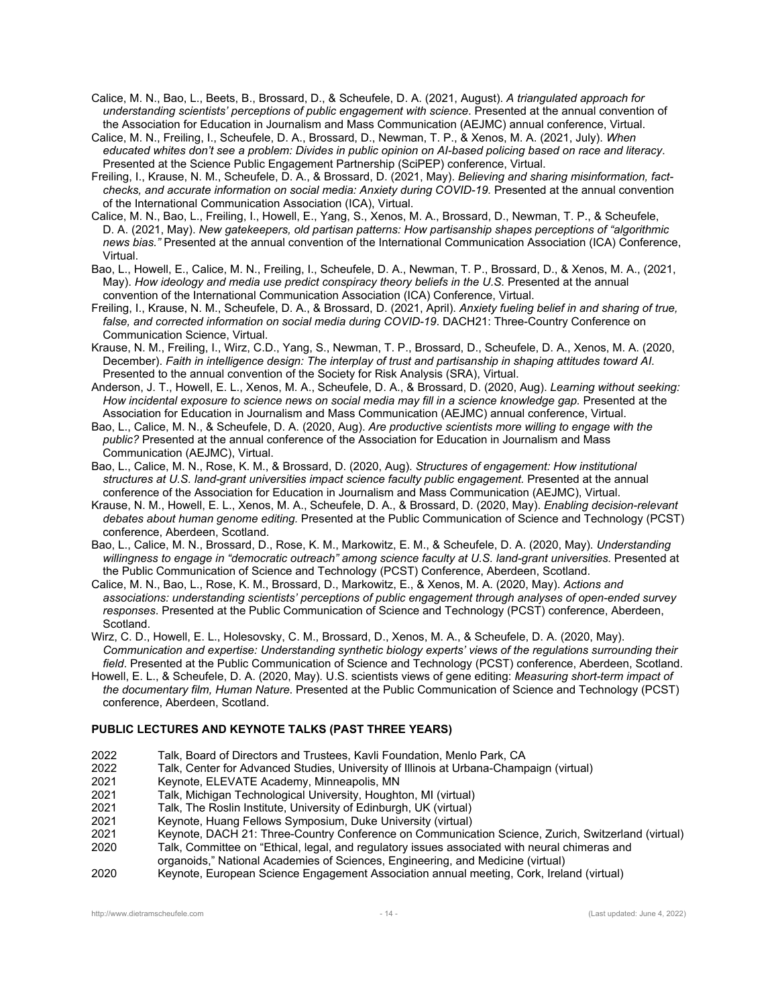Calice, M. N., Bao, L., Beets, B., Brossard, D., & Scheufele, D. A. (2021, August). *A triangulated approach for understanding scientists' perceptions of public engagement with science*. Presented at the annual convention of the Association for Education in Journalism and Mass Communication (AEJMC) annual conference, Virtual.

Calice, M. N., Freiling, I., Scheufele, D. A., Brossard, D., Newman, T. P., & Xenos, M. A. (2021, July). *When educated whites don't see a problem: Divides in public opinion on AI-based policing based on race and literacy*. Presented at the Science Public Engagement Partnership (SciPEP) conference, Virtual.

Freiling, I., Krause, N. M., Scheufele, D. A., & Brossard, D. (2021, May). *Believing and sharing misinformation, factchecks, and accurate information on social media: Anxiety during COVID-19.* Presented at the annual convention of the International Communication Association (ICA), Virtual.

Calice, M. N., Bao, L., Freiling, I., Howell, E., Yang, S., Xenos, M. A., Brossard, D., Newman, T. P., & Scheufele, D. A. (2021, May). *New gatekeepers, old partisan patterns: How partisanship shapes perceptions of "algorithmic news bias."* Presented at the annual convention of the International Communication Association (ICA) Conference, Virtual.

Bao, L., Howell, E., Calice, M. N., Freiling, I., Scheufele, D. A., Newman, T. P., Brossard, D., & Xenos, M. A., (2021, May). *How ideology and media use predict conspiracy theory beliefs in the U.S.* Presented at the annual convention of the International Communication Association (ICA) Conference, Virtual.

Freiling, I., Krause, N. M., Scheufele, D. A., & Brossard, D. (2021, April). *Anxiety fueling belief in and sharing of true, false, and corrected information on social media during COVID-19*. DACH21: Three-Country Conference on Communication Science, Virtual.

Krause, N. M., Freiling, I., Wirz, C.D., Yang, S., Newman, T. P., Brossard, D., Scheufele, D. A., Xenos, M. A. (2020, December). *Faith in intelligence design: The interplay of trust and partisanship in shaping attitudes toward AI*. Presented to the annual convention of the Society for Risk Analysis (SRA), Virtual.

Anderson, J. T., Howell, E. L., Xenos, M. A., Scheufele, D. A., & Brossard, D. (2020, Aug). *Learning without seeking: How incidental exposure to science news on social media may fill in a science knowledge gap.* Presented at the Association for Education in Journalism and Mass Communication (AEJMC) annual conference, Virtual.

Bao, L., Calice, M. N., & Scheufele, D. A. (2020, Aug). *Are productive scientists more willing to engage with the public?* Presented at the annual conference of the Association for Education in Journalism and Mass Communication (AEJMC), Virtual.

Bao, L., Calice, M. N., Rose, K. M., & Brossard, D. (2020, Aug). *Structures of engagement: How institutional structures at U.S. land-grant universities impact science faculty public engagement.* Presented at the annual conference of the Association for Education in Journalism and Mass Communication (AEJMC), Virtual.

Krause, N. M., Howell, E. L., Xenos, M. A., Scheufele, D. A., & Brossard, D. (2020, May). *Enabling decision-relevant debates about human genome editing.* Presented at the Public Communication of Science and Technology (PCST) conference, Aberdeen, Scotland.

Bao, L., Calice, M. N., Brossard, D., Rose, K. M., Markowitz, E. M., & Scheufele, D. A. (2020, May). *Understanding willingness to engage in "democratic outreach" among science faculty at U.S. land-grant universities*. Presented at the Public Communication of Science and Technology (PCST) Conference, Aberdeen, Scotland.

Calice, M. N., Bao, L., Rose, K. M., Brossard, D., Markowitz, E., & Xenos, M. A. (2020, May). *Actions and associations: understanding scientists' perceptions of public engagement through analyses of open-ended survey responses*. Presented at the Public Communication of Science and Technology (PCST) conference, Aberdeen, Scotland.

Wirz, C. D., Howell, E. L., Holesovsky, C. M., Brossard, D., Xenos, M. A., & Scheufele, D. A. (2020, May). *Communication and expertise: Understanding synthetic biology experts' views of the regulations surrounding their field*. Presented at the Public Communication of Science and Technology (PCST) conference, Aberdeen, Scotland.

Howell, E. L., & Scheufele, D. A. (2020, May). U.S. scientists views of gene editing: *Measuring short-term impact of the documentary film, Human Nature*. Presented at the Public Communication of Science and Technology (PCST) conference, Aberdeen, Scotland.

## **PUBLIC LECTURES AND KEYNOTE TALKS (PAST THREE YEARS)**

2022 Talk, Board of Directors and Trustees, Kavli Foundation, Menlo Park, CA

2022 Talk, Center for Advanced Studies, University of Illinois at Urbana-Champaign (virtual)

2021 Keynote, ELEVATE Academy, Minneapolis, MN

2021 Talk, Michigan Technological University, Houghton, MI (virtual)

2021 Talk, The Roslin Institute, University of Edinburgh, UK (virtual)

2021 Keynote, Huang Fellows Symposium, Duke University (virtual)

2021 Keynote, DACH 21: Three-Country Conference on Communication Science, Zurich, Switzerland (virtual)

2020 Talk, Committee on "Ethical, legal, and regulatory issues associated with neural chimeras and organoids," National Academies of Sciences, Engineering, and Medicine (virtual)

2020 Keynote, European Science Engagement Association annual meeting, Cork, Ireland (virtual)

http://www.dietramscheufele.com - 14 - (Last updated: June 4, 2022)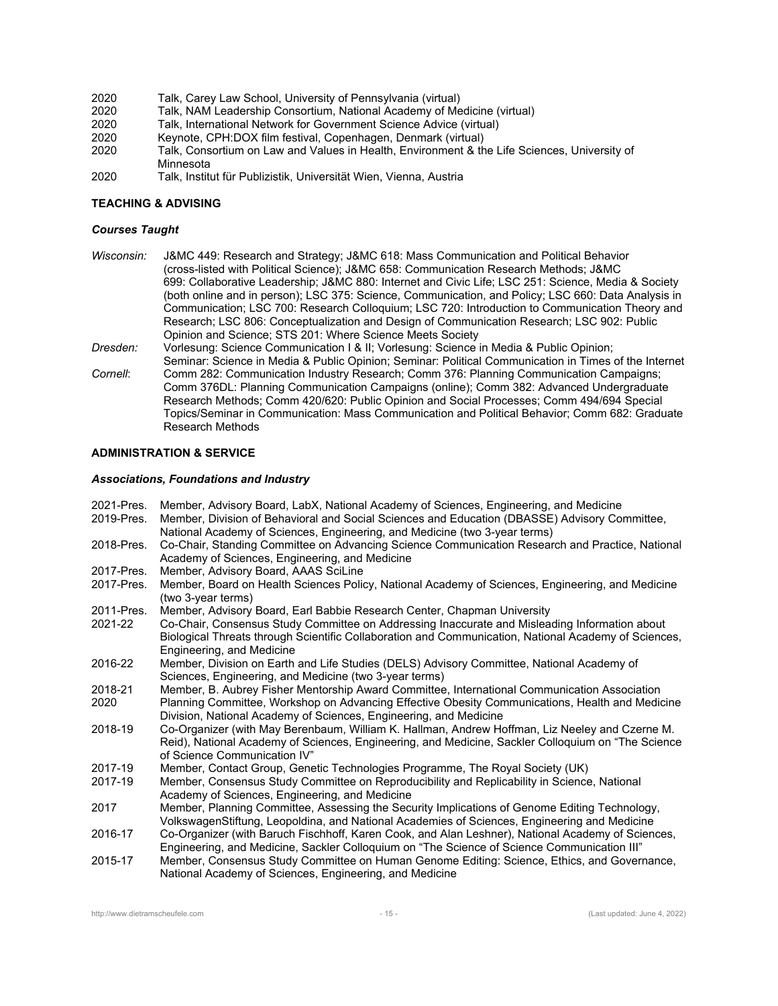- 2020 Talk, Carey Law School, University of Pennsylvania (virtual)
- 2020 Talk, NAM Leadership Consortium, National Academy of Medicine (virtual)
- Talk, International Network for Government Science Advice (virtual)
- 2020 Keynote, CPH:DOX film festival, Copenhagen, Denmark (virtual)
- 2020 Talk, Consortium on Law and Values in Health, Environment & the Life Sciences, University of Minnesota
- 2020 Talk, Institut für Publizistik, Universität Wien, Vienna, Austria

## **TEACHING & ADVISING**

## *Courses Taught*

- *Wisconsin:* J&MC 449: Research and Strategy; J&MC 618: Mass Communication and Political Behavior (cross-listed with Political Science); J&MC 658: Communication Research Methods; J&MC 699: Collaborative Leadership; J&MC 880: Internet and Civic Life; LSC 251: Science, Media & Society (both online and in person); LSC 375: Science, Communication, and Policy; LSC 660: Data Analysis in Communication; LSC 700: Research Colloquium; LSC 720: Introduction to Communication Theory and Research; LSC 806: Conceptualization and Design of Communication Research; LSC 902: Public Opinion and Science; STS 201: Where Science Meets Society
- *Dresden:* Vorlesung: Science Communication I & II; Vorlesung: Science in Media & Public Opinion;
- Seminar: Science in Media & Public Opinion; Seminar: Political Communication in Times of the Internet *Cornell*: Comm 282: Communication Industry Research; Comm 376: Planning Communication Campaigns; Comm 376DL: Planning Communication Campaigns (online); Comm 382: Advanced Undergraduate Research Methods; Comm 420/620: Public Opinion and Social Processes; Comm 494/694 Special Topics/Seminar in Communication: Mass Communication and Political Behavior; Comm 682: Graduate Research Methods

## **ADMINISTRATION & SERVICE**

#### *Associations, Foundations and Industry*

2021-Pres. Member, Advisory Board, LabX, National Academy of Sciences, Engineering, and Medicine 2019-Pres. Member, Division of Behavioral and Social Sciences and Education (DBASSE) Advisory Committee, National Academy of Sciences, Engineering, and Medicine (two 3-year terms) 2018-Pres. Co-Chair, Standing Committee on Advancing Science Communication Research and Practice, National Academy of Sciences, Engineering, and Medicine 2017-Pres. Member, Advisory Board, AAAS SciLine 2017-Pres. Member, Board on Health Sciences Policy, National Academy of Sciences, Engineering, and Medicine (two 3-year terms) 2011-Pres. Member, Advisory Board, Earl Babbie Research Center, Chapman University 2021-22 Co-Chair, Consensus Study Committee on Addressing Inaccurate and Misleading Information about Biological Threats through Scientific Collaboration and Communication, National Academy of Sciences, Engineering, and Medicine 2016-22 Member, Division on Earth and Life Studies (DELS) Advisory Committee, National Academy of Sciences, Engineering, and Medicine (two 3-year terms) 2018-21 Member, B. Aubrey Fisher Mentorship Award Committee, International Communication Association 2020 Planning Committee, Workshop on Advancing Effective Obesity Communications, Health and Medicine Division, National Academy of Sciences, Engineering, and Medicine 2018-19 Co-Organizer (with May Berenbaum, William K. Hallman, Andrew Hoffman, Liz Neeley and Czerne M. Reid), National Academy of Sciences, Engineering, and Medicine, Sackler Colloquium on "The Science of Science Communication IV" 2017-19 Member, Contact Group, Genetic Technologies Programme, The Royal Society (UK) Member, Consensus Study Committee on Reproducibility and Replicability in Science, National Academy of Sciences, Engineering, and Medicine 2017 Member, Planning Committee, Assessing the Security Implications of Genome Editing Technology, VolkswagenStiftung, Leopoldina, and National Academies of Sciences, Engineering and Medicine 2016-17 Co-Organizer (with Baruch Fischhoff, Karen Cook, and Alan Leshner), National Academy of Sciences, Engineering, and Medicine, Sackler Colloquium on "The Science of Science Communication III" 2015-17 Member, Consensus Study Committee on Human Genome Editing: Science, Ethics, and Governance, National Academy of Sciences, Engineering, and Medicine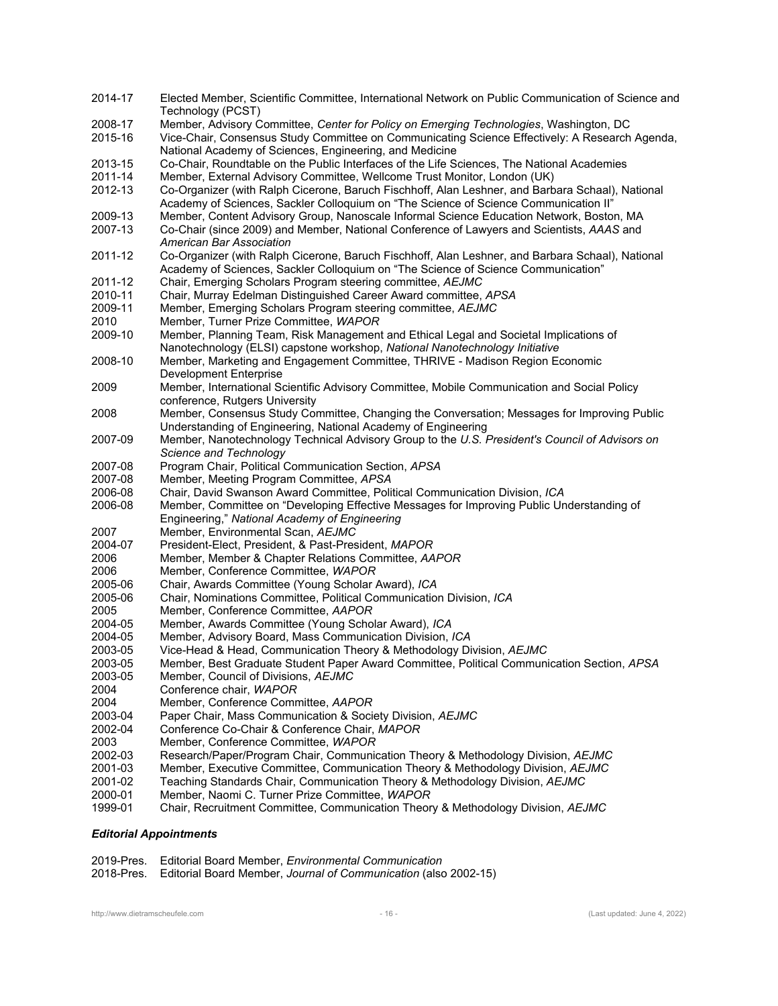| 2014-17 | Elected Member, Scientific Committee, International Network on Public Communication of Science and<br>Technology (PCST)                                                                  |
|---------|------------------------------------------------------------------------------------------------------------------------------------------------------------------------------------------|
| 2008-17 | Member, Advisory Committee, Center for Policy on Emerging Technologies, Washington, DC                                                                                                   |
| 2015-16 | Vice-Chair, Consensus Study Committee on Communicating Science Effectively: A Research Agenda,                                                                                           |
|         |                                                                                                                                                                                          |
|         | National Academy of Sciences, Engineering, and Medicine                                                                                                                                  |
| 2013-15 | Co-Chair, Roundtable on the Public Interfaces of the Life Sciences, The National Academies                                                                                               |
| 2011-14 | Member, External Advisory Committee, Wellcome Trust Monitor, London (UK)                                                                                                                 |
| 2012-13 | Co-Organizer (with Ralph Cicerone, Baruch Fischhoff, Alan Leshner, and Barbara Schaal), National<br>Academy of Sciences, Sackler Colloquium on "The Science of Science Communication II" |
| 2009-13 | Member, Content Advisory Group, Nanoscale Informal Science Education Network, Boston, MA                                                                                                 |
| 2007-13 | Co-Chair (since 2009) and Member, National Conference of Lawyers and Scientists, AAAS and                                                                                                |
|         | American Bar Association                                                                                                                                                                 |
| 2011-12 | Co-Organizer (with Ralph Cicerone, Baruch Fischhoff, Alan Leshner, and Barbara Schaal), National                                                                                         |
|         | Academy of Sciences, Sackler Colloquium on "The Science of Science Communication"                                                                                                        |
| 2011-12 | Chair, Emerging Scholars Program steering committee, AEJMC                                                                                                                               |
| 2010-11 | Chair, Murray Edelman Distinguished Career Award committee, APSA                                                                                                                         |
| 2009-11 | Member, Emerging Scholars Program steering committee, AEJMC                                                                                                                              |
| 2010    | Member, Turner Prize Committee, WAPOR                                                                                                                                                    |
| 2009-10 | Member, Planning Team, Risk Management and Ethical Legal and Societal Implications of                                                                                                    |
|         | Nanotechnology (ELSI) capstone workshop, National Nanotechnology Initiative                                                                                                              |
| 2008-10 |                                                                                                                                                                                          |
|         | Member, Marketing and Engagement Committee, THRIVE - Madison Region Economic                                                                                                             |
|         | <b>Development Enterprise</b>                                                                                                                                                            |
| 2009    | Member, International Scientific Advisory Committee, Mobile Communication and Social Policy                                                                                              |
|         | conference, Rutgers University                                                                                                                                                           |
| 2008    | Member, Consensus Study Committee, Changing the Conversation; Messages for Improving Public                                                                                              |
|         | Understanding of Engineering, National Academy of Engineering                                                                                                                            |
| 2007-09 | Member, Nanotechnology Technical Advisory Group to the U.S. President's Council of Advisors on                                                                                           |
|         | Science and Technology                                                                                                                                                                   |
| 2007-08 | Program Chair, Political Communication Section, APSA                                                                                                                                     |
| 2007-08 | Member, Meeting Program Committee, APSA                                                                                                                                                  |
| 2006-08 | Chair, David Swanson Award Committee, Political Communication Division, ICA                                                                                                              |
| 2006-08 | Member, Committee on "Developing Effective Messages for Improving Public Understanding of                                                                                                |
|         | Engineering," National Academy of Engineering                                                                                                                                            |
| 2007    | Member, Environmental Scan, AEJMC                                                                                                                                                        |
| 2004-07 | President-Elect, President, & Past-President, MAPOR                                                                                                                                      |
| 2006    | Member, Member & Chapter Relations Committee, AAPOR                                                                                                                                      |
| 2006    | Member, Conference Committee, WAPOR                                                                                                                                                      |
| 2005-06 | Chair, Awards Committee (Young Scholar Award), ICA                                                                                                                                       |
| 2005-06 | Chair, Nominations Committee, Political Communication Division, ICA                                                                                                                      |
| 2005    | Member, Conference Committee, AAPOR                                                                                                                                                      |
| 2004-05 | Member, Awards Committee (Young Scholar Award), ICA                                                                                                                                      |
| 2004-05 | Member, Advisory Board, Mass Communication Division, ICA                                                                                                                                 |
| 2003-05 | Vice-Head & Head, Communication Theory & Methodology Division, AEJMC                                                                                                                     |
|         |                                                                                                                                                                                          |
| 2003-05 | Member, Best Graduate Student Paper Award Committee, Political Communication Section, APSA                                                                                               |
| 2003-05 | Member, Council of Divisions, AEJMC                                                                                                                                                      |
| 2004    | Conference chair, WAPOR                                                                                                                                                                  |
| 2004    | Member, Conference Committee, AAPOR                                                                                                                                                      |
| 2003-04 | Paper Chair, Mass Communication & Society Division, AEJMC                                                                                                                                |
| 2002-04 | Conference Co-Chair & Conference Chair, MAPOR                                                                                                                                            |
| 2003    | Member, Conference Committee, WAPOR                                                                                                                                                      |
| 2002-03 | Research/Paper/Program Chair, Communication Theory & Methodology Division, AEJMC                                                                                                         |
| 2001-03 | Member, Executive Committee, Communication Theory & Methodology Division, AEJMC                                                                                                          |
| 2001-02 | Teaching Standards Chair, Communication Theory & Methodology Division, AEJMC                                                                                                             |
| 2000-01 | Member, Naomi C. Turner Prize Committee, WAPOR                                                                                                                                           |
| 1999-01 | Chair, Recruitment Committee, Communication Theory & Methodology Division, AEJMC                                                                                                         |

# *Editorial Appointments*

| 2019-Pres. Editorial Board Member, <i>Environmental Communication</i>      |
|----------------------------------------------------------------------------|
| 2018-Pres. Editorial Board Member, Journal of Communication (also 2002-15) |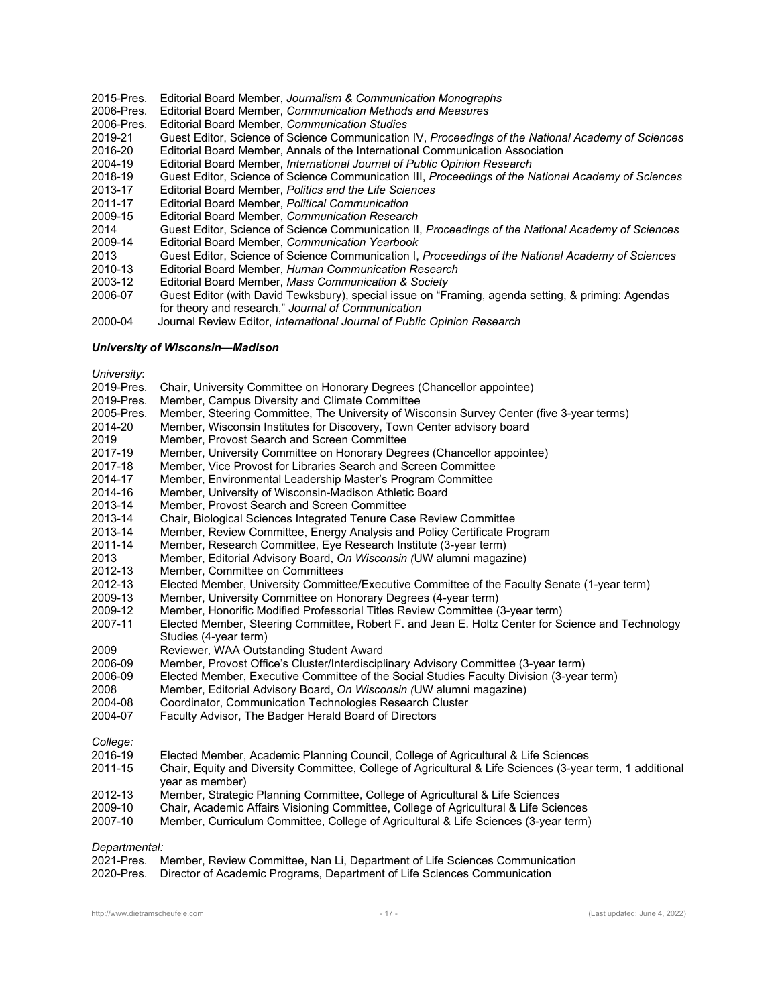- 2015-Pres. Editorial Board Member, *Journalism & Communication Monographs*
- 2006-Pres. Editorial Board Member, *Communication Methods and Measures*
- 2006-Pres. Editorial Board Member, *Communication Studies*
- 2019-21 Guest Editor, Science of Science Communication IV, *Proceedings of the National Academy of Sciences*
- 2016-20 Editorial Board Member, Annals of the International Communication Association
- 2004-19 Editorial Board Member, *International Journal of Public Opinion Research*
- 2018-19 Guest Editor, Science of Science Communication III, *Proceedings of the National Academy of Sciences*
- 2013-17 Editorial Board Member, *Politics and the Life Sciences*
- 2011-17 Editorial Board Member, *Political Communication*
- 2009-15 Editorial Board Member, *Communication Research*
- 2014 Guest Editor, Science of Science Communication II, *Proceedings of the National Academy of Sciences*
- 2009-14 Editorial Board Member, *Communication Yearbook*
- 2013 Guest Editor, Science of Science Communication I, *Proceedings of the National Academy of Sciences*
- 2010-13 Editorial Board Member, *Human Communication Research*
- 2003-12Editorial Board Member, *Mass Communication & Society*
- 2006-07 Guest Editor (with David Tewksbury), special issue on "Framing, agenda setting, & priming: Agendas for theory and research," *Journal of Communication*
- 2000-04 Journal Review Editor, *International Journal of Public Opinion Research*

#### *University of Wisconsin—Madison*

*University*:

| <i>UHIVERSILY.</i> |                                                                                                                              |
|--------------------|------------------------------------------------------------------------------------------------------------------------------|
| 2019-Pres.         | Chair, University Committee on Honorary Degrees (Chancellor appointee)                                                       |
| 2019-Pres.         | Member, Campus Diversity and Climate Committee                                                                               |
| 2005-Pres.         | Member, Steering Committee, The University of Wisconsin Survey Center (five 3-year terms)                                    |
| 2014-20            | Member, Wisconsin Institutes for Discovery, Town Center advisory board                                                       |
| 2019               | Member, Provost Search and Screen Committee                                                                                  |
| 2017-19            | Member, University Committee on Honorary Degrees (Chancellor appointee)                                                      |
| 2017-18            | Member, Vice Provost for Libraries Search and Screen Committee                                                               |
| 2014-17            | Member, Environmental Leadership Master's Program Committee                                                                  |
| 2014-16            | Member, University of Wisconsin-Madison Athletic Board                                                                       |
| 2013-14            | Member, Provost Search and Screen Committee                                                                                  |
| 2013-14            | Chair, Biological Sciences Integrated Tenure Case Review Committee                                                           |
| 2013-14            | Member, Review Committee, Energy Analysis and Policy Certificate Program                                                     |
| 2011-14            | Member, Research Committee, Eye Research Institute (3-year term)                                                             |
| 2013               | Member, Editorial Advisory Board, On Wisconsin (UW alumni magazine)                                                          |
| 2012-13            | Member, Committee on Committees                                                                                              |
| 2012-13            | Elected Member, University Committee/Executive Committee of the Faculty Senate (1-year term)                                 |
| 2009-13            | Member, University Committee on Honorary Degrees (4-year term)                                                               |
| 2009-12            | Member, Honorific Modified Professorial Titles Review Committee (3-year term)                                                |
| 2007-11            | Elected Member, Steering Committee, Robert F. and Jean E. Holtz Center for Science and Technology                            |
|                    | Studies (4-year term)                                                                                                        |
| 2009               | Reviewer, WAA Outstanding Student Award                                                                                      |
| 2006-09            | Member, Provost Office's Cluster/Interdisciplinary Advisory Committee (3-year term)                                          |
| 2006-09            | Elected Member, Executive Committee of the Social Studies Faculty Division (3-year term)                                     |
| 2008               | Member, Editorial Advisory Board, On Wisconsin (UW alumni magazine)                                                          |
| 2004-08            | Coordinator, Communication Technologies Research Cluster                                                                     |
| 2004-07            | Faculty Advisor, The Badger Herald Board of Directors                                                                        |
| College:           |                                                                                                                              |
| 2016-19            | Elected Member, Academic Planning Council, College of Agricultural & Life Sciences                                           |
| 2011-15            | Chair, Equity and Diversity Committee, College of Agricultural & Life Sciences (3-year term, 1 additional<br>year as member) |
| 2012-13            | Member, Strategic Planning Committee, College of Agricultural & Life Sciences                                                |
| 2009-10            | Chair, Academic Affairs Visioning Committee, College of Agricultural & Life Sciences                                         |

2009-10 Chair, Academic Affairs Visioning Committee, College of A<br>2007-10 Member. Curriculum Committee. College of Agricultural & l 2007-10 Member, Curriculum Committee, College of Agricultural & Life Sciences (3-year term)

#### *Departmental:*

| 2021-Pres. Member, Review Committee, Nan Li, Department of Life Sciences Communication |
|----------------------------------------------------------------------------------------|
| 2020-Pres. Director of Academic Programs, Department of Life Sciences Communication    |